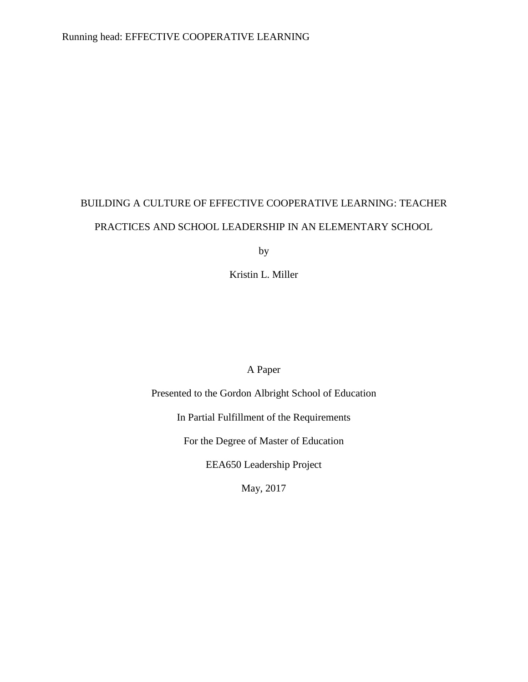# BUILDING A CULTURE OF EFFECTIVE COOPERATIVE LEARNING: TEACHER PRACTICES AND SCHOOL LEADERSHIP IN AN ELEMENTARY SCHOOL

by

Kristin L. Miller

## A Paper

Presented to the Gordon Albright School of Education

In Partial Fulfillment of the Requirements

For the Degree of Master of Education

EEA650 Leadership Project

May, 2017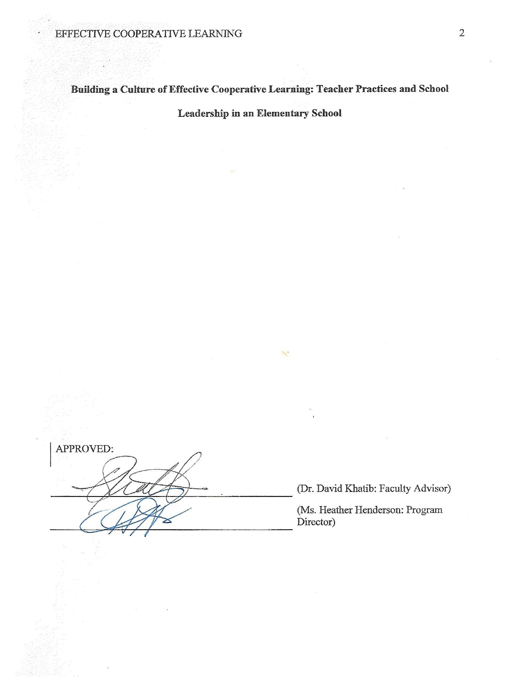Building a Culture of Effective Cooperative Learning: Teacher Practices and School

Leadership in an Elementary School

 $\mathcal{A}^{\bullet}$ 

APPROVED:

(Dr. David Khatib: Faculty Advisor)

(Ms. Heather Henderson: Program Director)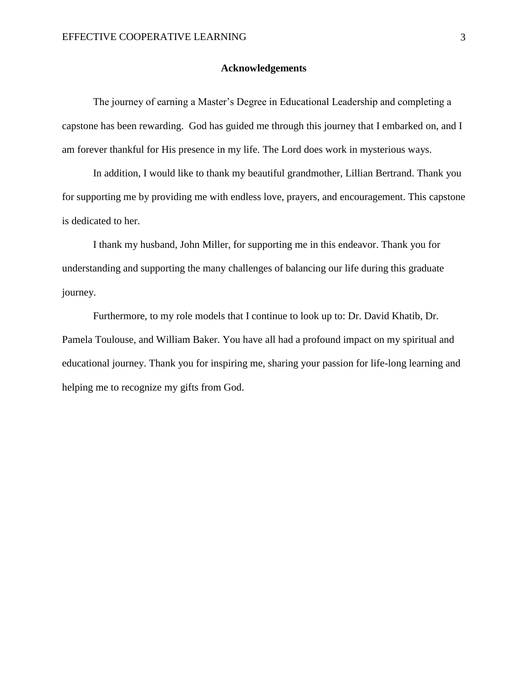#### **Acknowledgements**

<span id="page-2-0"></span>The journey of earning a Master's Degree in Educational Leadership and completing a capstone has been rewarding. God has guided me through this journey that I embarked on, and I am forever thankful for His presence in my life. The Lord does work in mysterious ways.

In addition, I would like to thank my beautiful grandmother, Lillian Bertrand. Thank you for supporting me by providing me with endless love, prayers, and encouragement. This capstone is dedicated to her.

I thank my husband, John Miller, for supporting me in this endeavor. Thank you for understanding and supporting the many challenges of balancing our life during this graduate journey.

Furthermore, to my role models that I continue to look up to: Dr. David Khatib, Dr. Pamela Toulouse, and William Baker. You have all had a profound impact on my spiritual and educational journey. Thank you for inspiring me, sharing your passion for life-long learning and helping me to recognize my gifts from God.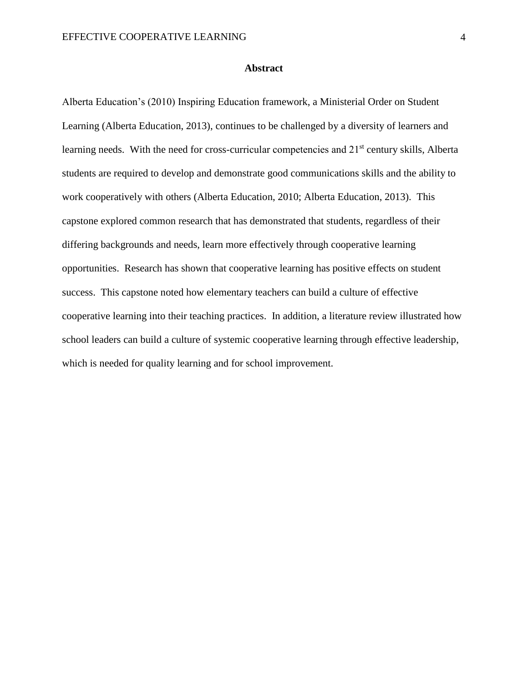#### **Abstract**

<span id="page-3-0"></span>Alberta Education's (2010) Inspiring Education framework, a Ministerial Order on Student Learning (Alberta Education, 2013), continues to be challenged by a diversity of learners and learning needs. With the need for cross-curricular competencies and 21<sup>st</sup> century skills, Alberta students are required to develop and demonstrate good communications skills and the ability to work cooperatively with others (Alberta Education, 2010; Alberta Education, 2013). This capstone explored common research that has demonstrated that students, regardless of their differing backgrounds and needs, learn more effectively through cooperative learning opportunities. Research has shown that cooperative learning has positive effects on student success. This capstone noted how elementary teachers can build a culture of effective cooperative learning into their teaching practices. In addition, a literature review illustrated how school leaders can build a culture of systemic cooperative learning through effective leadership, which is needed for quality learning and for school improvement.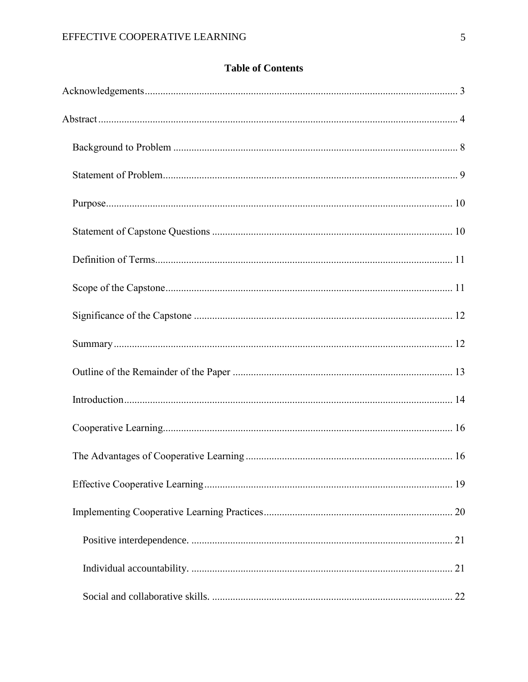|  | <b>Table of Contents</b> |
|--|--------------------------|
|--|--------------------------|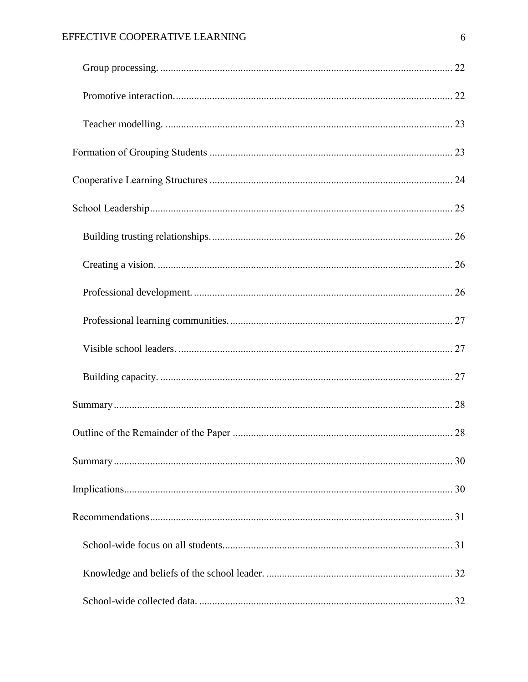## EFFECTIVE COOPERATIVE LEARNING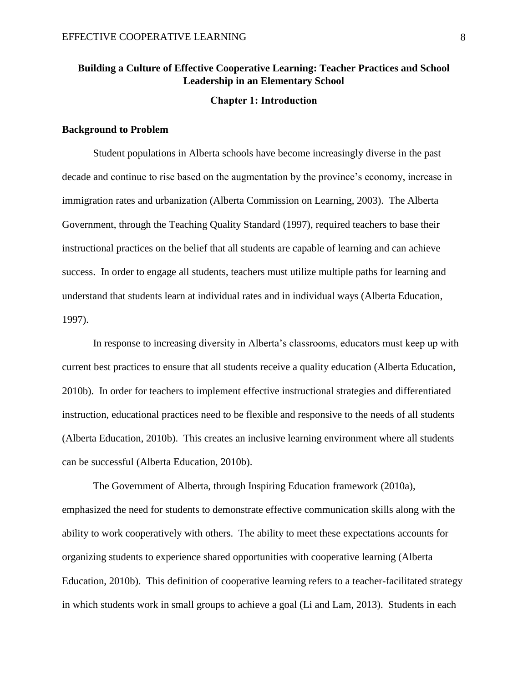## **Building a Culture of Effective Cooperative Learning: Teacher Practices and School Leadership in an Elementary School**

#### **Chapter 1: Introduction**

#### <span id="page-7-0"></span>**Background to Problem**

Student populations in Alberta schools have become increasingly diverse in the past decade and continue to rise based on the augmentation by the province's economy, increase in immigration rates and urbanization (Alberta Commission on Learning, 2003). The Alberta Government, through the Teaching Quality Standard (1997), required teachers to base their instructional practices on the belief that all students are capable of learning and can achieve success. In order to engage all students, teachers must utilize multiple paths for learning and understand that students learn at individual rates and in individual ways (Alberta Education, 1997).

In response to increasing diversity in Alberta's classrooms, educators must keep up with current best practices to ensure that all students receive a quality education (Alberta Education, 2010b). In order for teachers to implement effective instructional strategies and differentiated instruction, educational practices need to be flexible and responsive to the needs of all students (Alberta Education, 2010b). This creates an inclusive learning environment where all students can be successful (Alberta Education, 2010b).

The Government of Alberta, through Inspiring Education framework (2010a), emphasized the need for students to demonstrate effective communication skills along with the ability to work cooperatively with others. The ability to meet these expectations accounts for organizing students to experience shared opportunities with cooperative learning (Alberta Education, 2010b). This definition of cooperative learning refers to a teacher-facilitated strategy in which students work in small groups to achieve a goal (Li and Lam, 2013). Students in each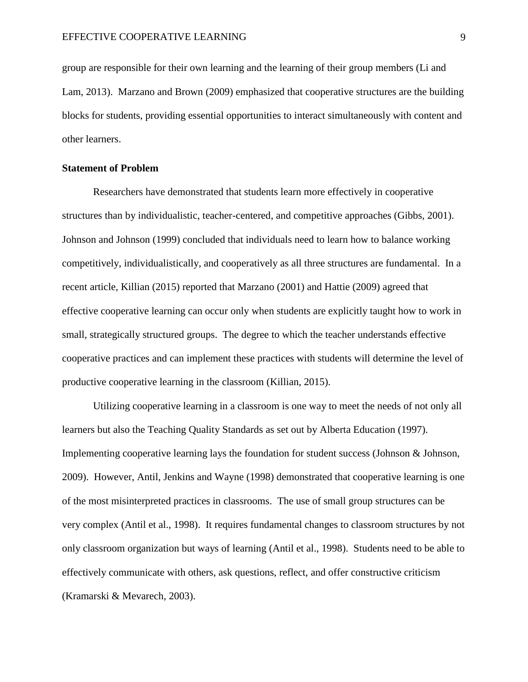group are responsible for their own learning and the learning of their group members (Li and Lam, 2013). Marzano and Brown (2009) emphasized that cooperative structures are the building blocks for students, providing essential opportunities to interact simultaneously with content and other learners.

#### <span id="page-8-0"></span>**Statement of Problem**

Researchers have demonstrated that students learn more effectively in cooperative structures than by individualistic, teacher-centered, and competitive approaches (Gibbs, 2001). Johnson and Johnson (1999) concluded that individuals need to learn how to balance working competitively, individualistically, and cooperatively as all three structures are fundamental. In a recent article, Killian (2015) reported that Marzano (2001) and Hattie (2009) agreed that effective cooperative learning can occur only when students are explicitly taught how to work in small, strategically structured groups. The degree to which the teacher understands effective cooperative practices and can implement these practices with students will determine the level of productive cooperative learning in the classroom (Killian, 2015).

Utilizing cooperative learning in a classroom is one way to meet the needs of not only all learners but also the Teaching Quality Standards as set out by Alberta Education (1997). Implementing cooperative learning lays the foundation for student success (Johnson & Johnson, 2009). However, Antil, Jenkins and Wayne (1998) demonstrated that cooperative learning is one of the most misinterpreted practices in classrooms. The use of small group structures can be very complex (Antil et al., 1998). It requires fundamental changes to classroom structures by not only classroom organization but ways of learning (Antil et al., 1998). Students need to be able to effectively communicate with others, ask questions, reflect, and offer constructive criticism (Kramarski & Mevarech, 2003).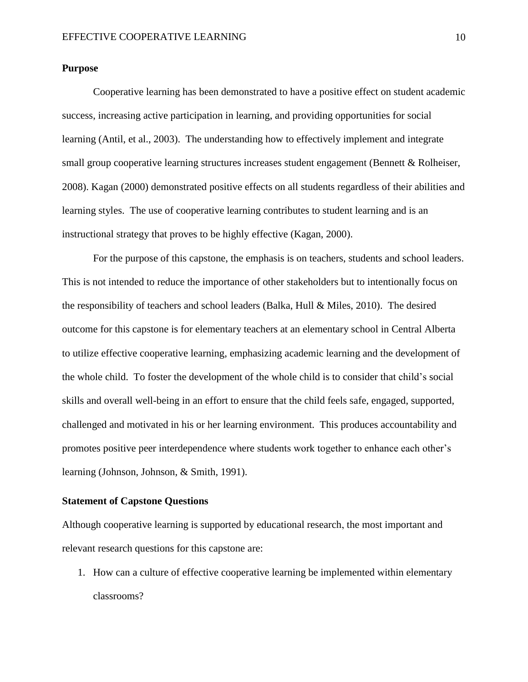#### <span id="page-9-0"></span>**Purpose**

Cooperative learning has been demonstrated to have a positive effect on student academic success, increasing active participation in learning, and providing opportunities for social learning (Antil, et al., 2003). The understanding how to effectively implement and integrate small group cooperative learning structures increases student engagement (Bennett & Rolheiser, 2008). Kagan (2000) demonstrated positive effects on all students regardless of their abilities and learning styles. The use of cooperative learning contributes to student learning and is an instructional strategy that proves to be highly effective (Kagan, 2000).

For the purpose of this capstone, the emphasis is on teachers, students and school leaders. This is not intended to reduce the importance of other stakeholders but to intentionally focus on the responsibility of teachers and school leaders (Balka, Hull & Miles, 2010). The desired outcome for this capstone is for elementary teachers at an elementary school in Central Alberta to utilize effective cooperative learning, emphasizing academic learning and the development of the whole child. To foster the development of the whole child is to consider that child's social skills and overall well-being in an effort to ensure that the child feels safe, engaged, supported, challenged and motivated in his or her learning environment. This produces accountability and promotes positive peer interdependence where students work together to enhance each other's learning (Johnson, Johnson, & Smith, 1991).

#### <span id="page-9-1"></span>**Statement of Capstone Questions**

Although cooperative learning is supported by educational research, the most important and relevant research questions for this capstone are:

1. How can a culture of effective cooperative learning be implemented within elementary classrooms?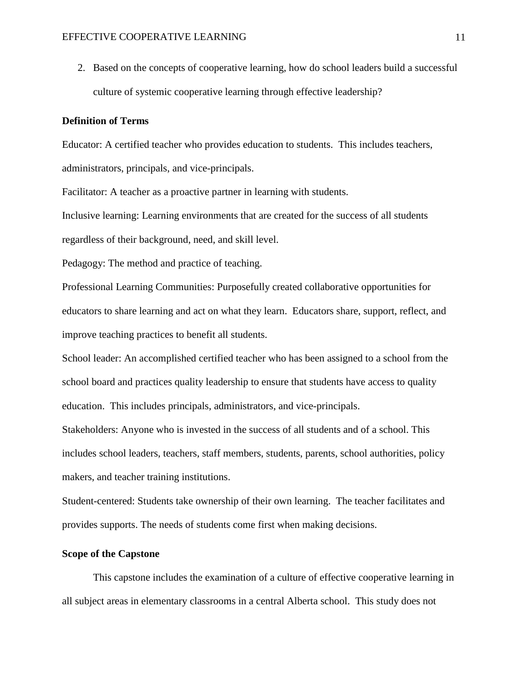2. Based on the concepts of cooperative learning, how do school leaders build a successful culture of systemic cooperative learning through effective leadership?

### <span id="page-10-0"></span>**Definition of Terms**

Educator: A certified teacher who provides education to students. This includes teachers, administrators, principals, and vice-principals.

Facilitator: A teacher as a proactive partner in learning with students.

Inclusive learning: Learning environments that are created for the success of all students regardless of their background, need, and skill level.

Pedagogy: The method and practice of teaching.

Professional Learning Communities: Purposefully created collaborative opportunities for educators to share learning and act on what they learn. Educators share, support, reflect, and improve teaching practices to benefit all students.

School leader: An accomplished certified teacher who has been assigned to a school from the school board and practices quality leadership to ensure that students have access to quality education. This includes principals, administrators, and vice-principals.

Stakeholders: Anyone who is invested in the success of all students and of a school. This includes school leaders, teachers, staff members, students, parents, school authorities, policy makers, and teacher training institutions.

Student-centered: Students take ownership of their own learning. The teacher facilitates and provides supports. The needs of students come first when making decisions.

## <span id="page-10-1"></span>**Scope of the Capstone**

This capstone includes the examination of a culture of effective cooperative learning in all subject areas in elementary classrooms in a central Alberta school. This study does not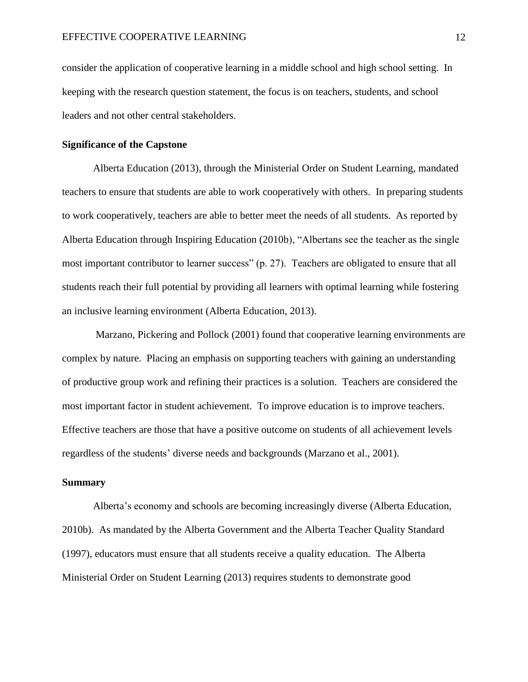consider the application of cooperative learning in a middle school and high school setting. In keeping with the research question statement, the focus is on teachers, students, and school leaders and not other central stakeholders.

#### <span id="page-11-0"></span>**Significance of the Capstone**

Alberta Education (2013), through the Ministerial Order on Student Learning, mandated teachers to ensure that students are able to work cooperatively with others. In preparing students to work cooperatively, teachers are able to better meet the needs of all students. As reported by Alberta Education through Inspiring Education (2010b), "Albertans see the teacher as the single most important contributor to learner success" (p. 27). Teachers are obligated to ensure that all students reach their full potential by providing all learners with optimal learning while fostering an inclusive learning environment (Alberta Education, 2013).

Marzano, Pickering and Pollock (2001) found that cooperative learning environments are complex by nature. Placing an emphasis on supporting teachers with gaining an understanding of productive group work and refining their practices is a solution. Teachers are considered the most important factor in student achievement. To improve education is to improve teachers. Effective teachers are those that have a positive outcome on students of all achievement levels regardless of the students' diverse needs and backgrounds (Marzano et al., 2001).

#### <span id="page-11-1"></span>**Summary**

Alberta's economy and schools are becoming increasingly diverse (Alberta Education, 2010b). As mandated by the Alberta Government and the Alberta Teacher Quality Standard (1997), educators must ensure that all students receive a quality education. The Alberta Ministerial Order on Student Learning (2013) requires students to demonstrate good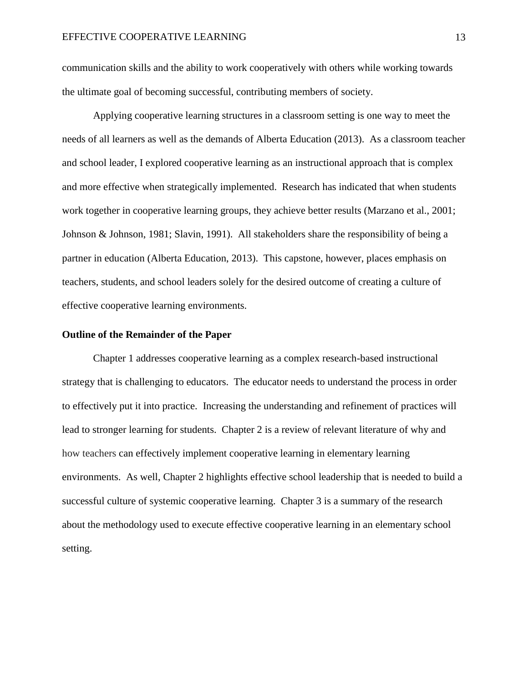communication skills and the ability to work cooperatively with others while working towards the ultimate goal of becoming successful, contributing members of society.

Applying cooperative learning structures in a classroom setting is one way to meet the needs of all learners as well as the demands of Alberta Education (2013). As a classroom teacher and school leader, I explored cooperative learning as an instructional approach that is complex and more effective when strategically implemented. Research has indicated that when students work together in cooperative learning groups, they achieve better results (Marzano et al., 2001; Johnson & Johnson, 1981; Slavin, 1991). All stakeholders share the responsibility of being a partner in education (Alberta Education, 2013). This capstone, however, places emphasis on teachers, students, and school leaders solely for the desired outcome of creating a culture of effective cooperative learning environments.

#### <span id="page-12-0"></span>**Outline of the Remainder of the Paper**

Chapter 1 addresses cooperative learning as a complex research-based instructional strategy that is challenging to educators. The educator needs to understand the process in order to effectively put it into practice. Increasing the understanding and refinement of practices will lead to stronger learning for students. Chapter 2 is a review of relevant literature of why and how teachers can effectively implement cooperative learning in elementary learning environments. As well, Chapter 2 highlights effective school leadership that is needed to build a successful culture of systemic cooperative learning. Chapter 3 is a summary of the research about the methodology used to execute effective cooperative learning in an elementary school setting.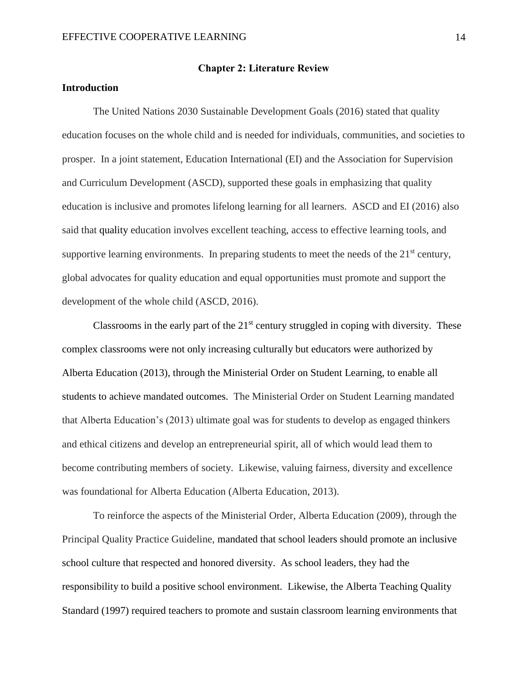#### **Chapter 2: Literature Review**

#### <span id="page-13-0"></span>**Introduction**

The United Nations 2030 Sustainable Development Goals (2016) stated that quality education focuses on the whole child and is needed for individuals, communities, and societies to prosper. In a joint statement, Education International (EI) and the Association for Supervision and Curriculum Development (ASCD), supported these goals in emphasizing that quality education is inclusive and promotes lifelong learning for all learners. ASCD and EI (2016) also said that quality education involves excellent teaching, access to effective learning tools, and supportive learning environments. In preparing students to meet the needs of the  $21<sup>st</sup>$  century, global advocates for quality education and equal opportunities must promote and support the development of the whole child (ASCD, 2016).

Classrooms in the early part of the  $21<sup>st</sup>$  century struggled in coping with diversity. These complex classrooms were not only increasing culturally but educators were authorized by Alberta Education (2013), through the Ministerial Order on Student Learning, to enable all students to achieve mandated outcomes. The Ministerial Order on Student Learning mandated that Alberta Education's (2013) ultimate goal was for students to develop as engaged thinkers and ethical citizens and develop an entrepreneurial spirit, all of which would lead them to become contributing members of society. Likewise, valuing fairness, diversity and excellence was foundational for Alberta Education (Alberta Education, 2013).

To reinforce the aspects of the Ministerial Order, Alberta Education (2009), through the Principal Quality Practice Guideline, mandated that school leaders should promote an inclusive school culture that respected and honored diversity. As school leaders, they had the responsibility to build a positive school environment. Likewise, the Alberta Teaching Quality Standard (1997) required teachers to promote and sustain classroom learning environments that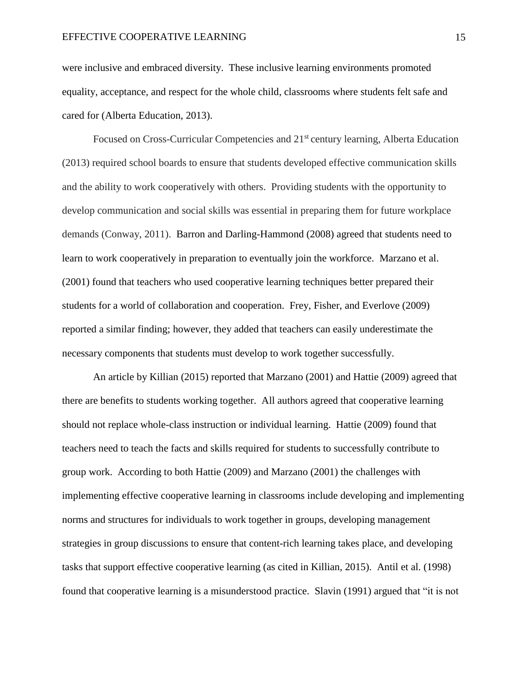were inclusive and embraced diversity. These inclusive learning environments promoted equality, acceptance, and respect for the whole child, classrooms where students felt safe and cared for (Alberta Education, 2013).

Focused on Cross-Curricular Competencies and 21<sup>st</sup> century learning, Alberta Education (2013) required school boards to ensure that students developed effective communication skills and the ability to work cooperatively with others. Providing students with the opportunity to develop communication and social skills was essential in preparing them for future workplace demands (Conway, 2011). Barron and Darling-Hammond (2008) agreed that students need to learn to work cooperatively in preparation to eventually join the workforce. Marzano et al. (2001) found that teachers who used cooperative learning techniques better prepared their students for a world of collaboration and cooperation. Frey, Fisher, and Everlove (2009) reported a similar finding; however, they added that teachers can easily underestimate the necessary components that students must develop to work together successfully.

An article by Killian (2015) reported that Marzano (2001) and Hattie (2009) agreed that there are benefits to students working together. All authors agreed that cooperative learning should not replace whole-class instruction or individual learning. Hattie (2009) found that teachers need to teach the facts and skills required for students to successfully contribute to group work. According to both Hattie (2009) and Marzano (2001) the challenges with implementing effective cooperative learning in classrooms include developing and implementing norms and structures for individuals to work together in groups, developing management strategies in group discussions to ensure that content-rich learning takes place, and developing tasks that support effective cooperative learning (as cited in Killian, 2015). Antil et al. (1998) found that cooperative learning is a misunderstood practice. Slavin (1991) argued that "it is not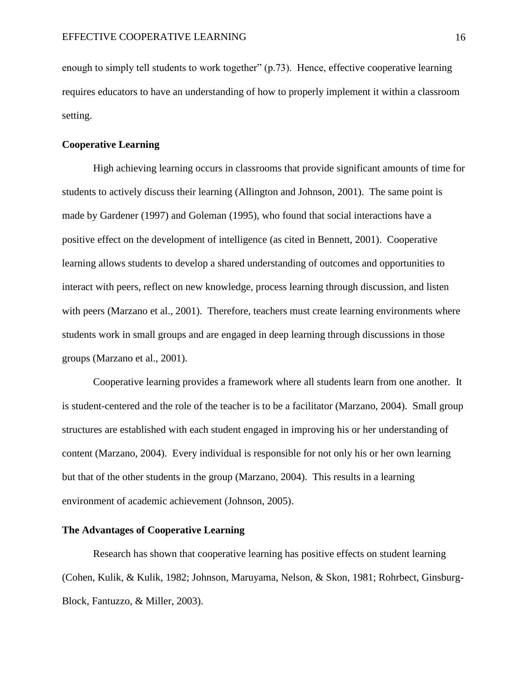enough to simply tell students to work together" (p.73). Hence, effective cooperative learning requires educators to have an understanding of how to properly implement it within a classroom setting.

#### <span id="page-15-0"></span>**Cooperative Learning**

High achieving learning occurs in classrooms that provide significant amounts of time for students to actively discuss their learning (Allington and Johnson, 2001). The same point is made by Gardener (1997) and Goleman (1995), who found that social interactions have a positive effect on the development of intelligence (as cited in Bennett, 2001). Cooperative learning allows students to develop a shared understanding of outcomes and opportunities to interact with peers, reflect on new knowledge, process learning through discussion, and listen with peers (Marzano et al., 2001). Therefore, teachers must create learning environments where students work in small groups and are engaged in deep learning through discussions in those groups (Marzano et al., 2001).

Cooperative learning provides a framework where all students learn from one another. It is student-centered and the role of the teacher is to be a facilitator (Marzano, 2004). Small group structures are established with each student engaged in improving his or her understanding of content (Marzano, 2004). Every individual is responsible for not only his or her own learning but that of the other students in the group (Marzano, 2004). This results in a learning environment of academic achievement (Johnson, 2005).

#### <span id="page-15-1"></span>**The Advantages of Cooperative Learning**

Research has shown that cooperative learning has positive effects on student learning (Cohen, Kulik, & Kulik, 1982; Johnson, Maruyama, Nelson, & Skon, 1981; Rohrbect, Ginsburg-Block, Fantuzzo, & Miller, 2003).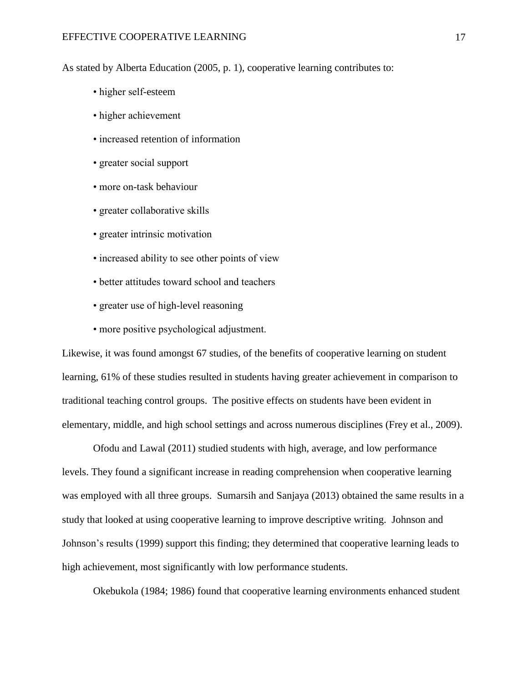As stated by Alberta Education (2005, p. 1), cooperative learning contributes to:

- higher self-esteem
- higher achievement
- increased retention of information
- greater social support
- more on-task behaviour
- greater collaborative skills
- greater intrinsic motivation
- increased ability to see other points of view
- better attitudes toward school and teachers
- greater use of high-level reasoning
- more positive psychological adjustment.

Likewise, it was found amongst 67 studies, of the benefits of cooperative learning on student learning, 61% of these studies resulted in students having greater achievement in comparison to traditional teaching control groups. The positive effects on students have been evident in elementary, middle, and high school settings and across numerous disciplines (Frey et al., 2009).

Ofodu and Lawal (2011) studied students with high, average, and low performance levels. They found a significant increase in reading comprehension when cooperative learning was employed with all three groups. Sumarsih and Sanjaya (2013) obtained the same results in a study that looked at using cooperative learning to improve descriptive writing. Johnson and Johnson's results (1999) support this finding; they determined that cooperative learning leads to high achievement, most significantly with low performance students.

Okebukola (1984; 1986) found that cooperative learning environments enhanced student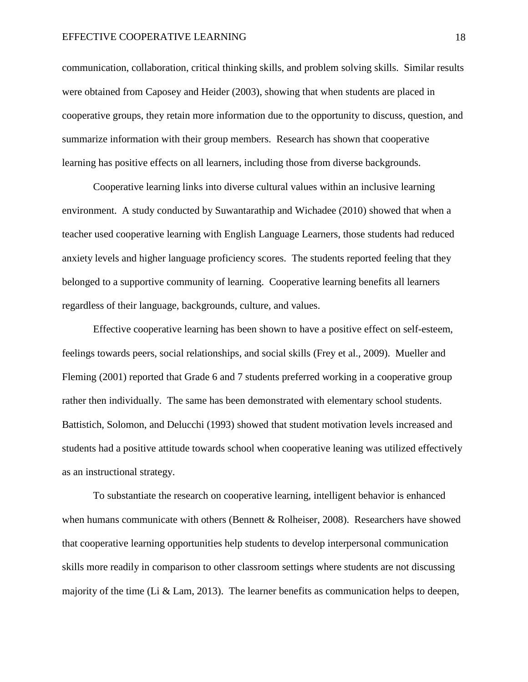#### EFFECTIVE COOPERATIVE LEARNING 18

communication, collaboration, critical thinking skills, and problem solving skills. Similar results were obtained from Caposey and Heider (2003), showing that when students are placed in cooperative groups, they retain more information due to the opportunity to discuss, question, and summarize information with their group members. Research has shown that cooperative learning has positive effects on all learners, including those from diverse backgrounds.

Cooperative learning links into diverse cultural values within an inclusive learning environment. A study conducted by Suwantarathip and Wichadee (2010) showed that when a teacher used cooperative learning with English Language Learners, those students had reduced anxiety levels and higher language proficiency scores. The students reported feeling that they belonged to a supportive community of learning. Cooperative learning benefits all learners regardless of their language, backgrounds, culture, and values.

Effective cooperative learning has been shown to have a positive effect on self-esteem, feelings towards peers, social relationships, and social skills (Frey et al., 2009). Mueller and Fleming (2001) reported that Grade 6 and 7 students preferred working in a cooperative group rather then individually. The same has been demonstrated with elementary school students. Battistich, Solomon, and Delucchi (1993) showed that student motivation levels increased and students had a positive attitude towards school when cooperative leaning was utilized effectively as an instructional strategy.

To substantiate the research on cooperative learning, intelligent behavior is enhanced when humans communicate with others (Bennett & Rolheiser, 2008). Researchers have showed that cooperative learning opportunities help students to develop interpersonal communication skills more readily in comparison to other classroom settings where students are not discussing majority of the time (Li & Lam, 2013). The learner benefits as communication helps to deepen,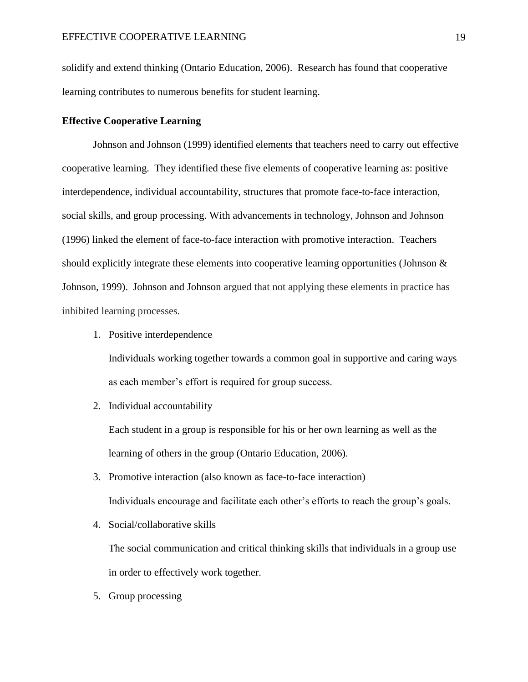solidify and extend thinking (Ontario Education, 2006). Research has found that cooperative learning contributes to numerous benefits for student learning.

#### <span id="page-18-0"></span>**Effective Cooperative Learning**

Johnson and Johnson (1999) identified elements that teachers need to carry out effective cooperative learning. They identified these five elements of cooperative learning as: positive interdependence, individual accountability, structures that promote face-to-face interaction, social skills, and group processing. With advancements in technology, Johnson and Johnson (1996) linked the element of face-to-face interaction with promotive interaction. Teachers should explicitly integrate these elements into cooperative learning opportunities (Johnson  $\&$ Johnson, 1999). Johnson and Johnson argued that not applying these elements in practice has inhibited learning processes.

1. Positive interdependence

Individuals working together towards a common goal in supportive and caring ways as each member's effort is required for group success.

2. Individual accountability

Each student in a group is responsible for his or her own learning as well as the learning of others in the group (Ontario Education, 2006).

- 3. Promotive interaction (also known as face-to-face interaction) Individuals encourage and facilitate each other's efforts to reach the group's goals.
- 4. Social/collaborative skills

The social communication and critical thinking skills that individuals in a group use in order to effectively work together.

5. Group processing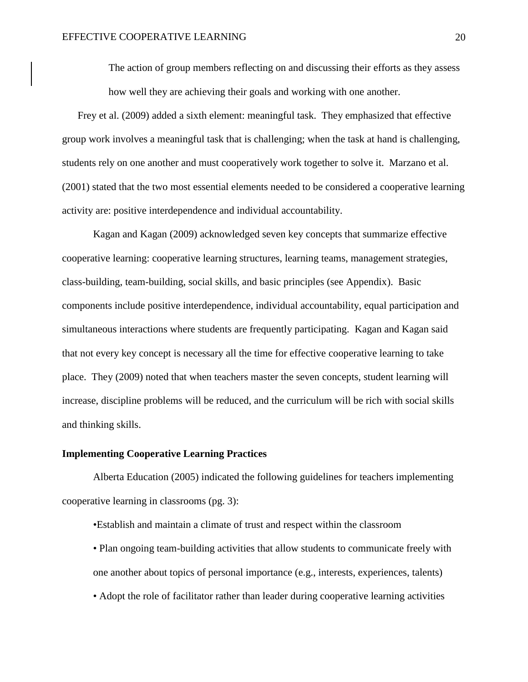The action of group members reflecting on and discussing their efforts as they assess how well they are achieving their goals and working with one another.

Frey et al. (2009) added a sixth element: meaningful task. They emphasized that effective group work involves a meaningful task that is challenging; when the task at hand is challenging, students rely on one another and must cooperatively work together to solve it. Marzano et al. (2001) stated that the two most essential elements needed to be considered a cooperative learning activity are: positive interdependence and individual accountability.

Kagan and Kagan (2009) acknowledged seven key concepts that summarize effective cooperative learning: cooperative learning structures, learning teams, management strategies, class-building, team-building, social skills, and basic principles (see Appendix). Basic components include positive interdependence, individual accountability, equal participation and simultaneous interactions where students are frequently participating. Kagan and Kagan said that not every key concept is necessary all the time for effective cooperative learning to take place. They (2009) noted that when teachers master the seven concepts, student learning will increase, discipline problems will be reduced, and the curriculum will be rich with social skills and thinking skills.

#### <span id="page-19-0"></span>**Implementing Cooperative Learning Practices**

Alberta Education (2005) indicated the following guidelines for teachers implementing cooperative learning in classrooms (pg. 3):

•Establish and maintain a climate of trust and respect within the classroom

- Plan ongoing team-building activities that allow students to communicate freely with one another about topics of personal importance (e.g., interests, experiences, talents)
- Adopt the role of facilitator rather than leader during cooperative learning activities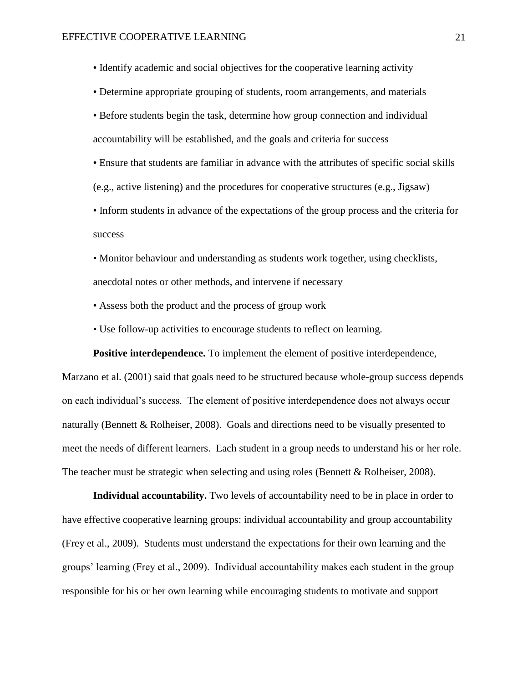• Identify academic and social objectives for the cooperative learning activity

• Determine appropriate grouping of students, room arrangements, and materials

• Before students begin the task, determine how group connection and individual accountability will be established, and the goals and criteria for success

• Ensure that students are familiar in advance with the attributes of specific social skills (e.g., active listening) and the procedures for cooperative structures (e.g., Jigsaw)

• Inform students in advance of the expectations of the group process and the criteria for success

• Monitor behaviour and understanding as students work together, using checklists, anecdotal notes or other methods, and intervene if necessary

- Assess both the product and the process of group work
- Use follow-up activities to encourage students to reflect on learning.

<span id="page-20-0"></span>**Positive interdependence.** To implement the element of positive interdependence, Marzano et al. (2001) said that goals need to be structured because whole-group success depends on each individual's success. The element of positive interdependence does not always occur naturally (Bennett & Rolheiser, 2008). Goals and directions need to be visually presented to meet the needs of different learners. Each student in a group needs to understand his or her role. The teacher must be strategic when selecting and using roles (Bennett & Rolheiser, 2008).

<span id="page-20-1"></span>**Individual accountability.** Two levels of accountability need to be in place in order to have effective cooperative learning groups: individual accountability and group accountability (Frey et al., 2009). Students must understand the expectations for their own learning and the groups' learning (Frey et al., 2009). Individual accountability makes each student in the group responsible for his or her own learning while encouraging students to motivate and support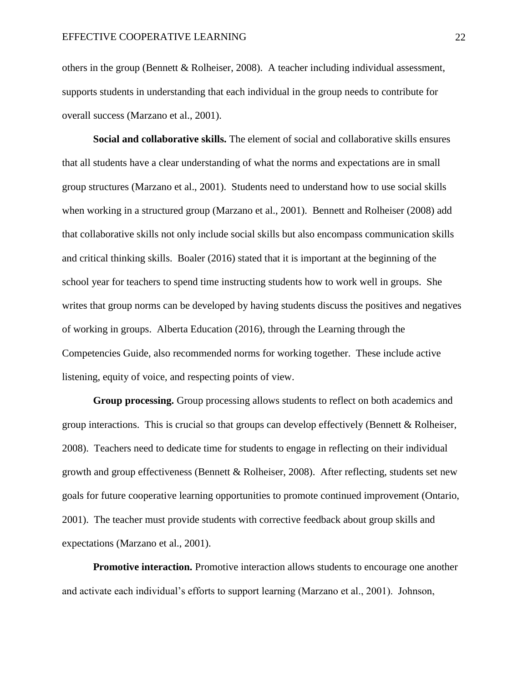others in the group (Bennett & Rolheiser, 2008). A teacher including individual assessment, supports students in understanding that each individual in the group needs to contribute for overall success (Marzano et al., 2001).

<span id="page-21-0"></span>**Social and collaborative skills.** The element of social and collaborative skills ensures that all students have a clear understanding of what the norms and expectations are in small group structures (Marzano et al., 2001). Students need to understand how to use social skills when working in a structured group (Marzano et al., 2001). Bennett and Rolheiser (2008) add that collaborative skills not only include social skills but also encompass communication skills and critical thinking skills. Boaler (2016) stated that it is important at the beginning of the school year for teachers to spend time instructing students how to work well in groups. She writes that group norms can be developed by having students discuss the positives and negatives of working in groups. Alberta Education (2016), through the Learning through the Competencies Guide, also recommended norms for working together. These include active listening, equity of voice, and respecting points of view.

<span id="page-21-1"></span>**Group processing.** Group processing allows students to reflect on both academics and group interactions. This is crucial so that groups can develop effectively (Bennett & Rolheiser, 2008). Teachers need to dedicate time for students to engage in reflecting on their individual growth and group effectiveness (Bennett & Rolheiser, 2008). After reflecting, students set new goals for future cooperative learning opportunities to promote continued improvement (Ontario, 2001). The teacher must provide students with corrective feedback about group skills and expectations (Marzano et al., 2001).

<span id="page-21-2"></span>**Promotive interaction.** Promotive interaction allows students to encourage one another and activate each individual's efforts to support learning (Marzano et al., 2001). Johnson,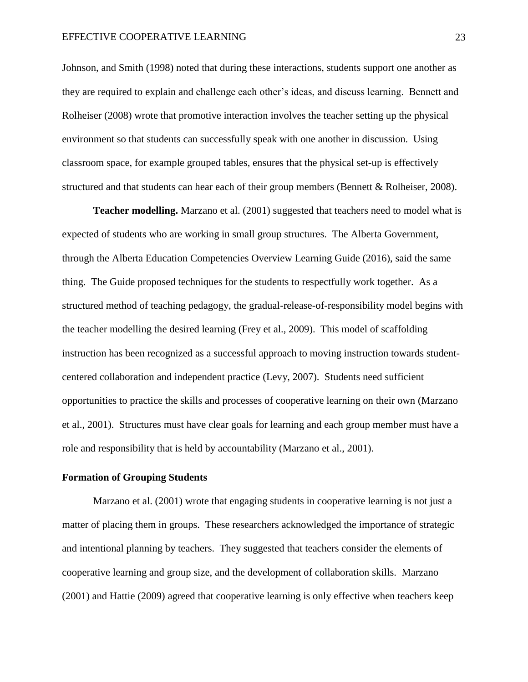Johnson, and Smith (1998) noted that during these interactions, students support one another as they are required to explain and challenge each other's ideas, and discuss learning. Bennett and Rolheiser (2008) wrote that promotive interaction involves the teacher setting up the physical environment so that students can successfully speak with one another in discussion. Using classroom space, for example grouped tables, ensures that the physical set-up is effectively structured and that students can hear each of their group members (Bennett & Rolheiser, 2008).

<span id="page-22-0"></span>**Teacher modelling.** Marzano et al. (2001) suggested that teachers need to model what is expected of students who are working in small group structures. The Alberta Government, through the Alberta Education Competencies Overview Learning Guide (2016), said the same thing. The Guide proposed techniques for the students to respectfully work together. As a structured method of teaching pedagogy, the gradual-release-of-responsibility model begins with the teacher modelling the desired learning (Frey et al., 2009). This model of scaffolding instruction has been recognized as a successful approach to moving instruction towards studentcentered collaboration and independent practice (Levy, 2007). Students need sufficient opportunities to practice the skills and processes of cooperative learning on their own (Marzano et al., 2001). Structures must have clear goals for learning and each group member must have a role and responsibility that is held by accountability (Marzano et al., 2001).

#### <span id="page-22-1"></span>**Formation of Grouping Students**

Marzano et al. (2001) wrote that engaging students in cooperative learning is not just a matter of placing them in groups. These researchers acknowledged the importance of strategic and intentional planning by teachers. They suggested that teachers consider the elements of cooperative learning and group size, and the development of collaboration skills. Marzano (2001) and Hattie (2009) agreed that cooperative learning is only effective when teachers keep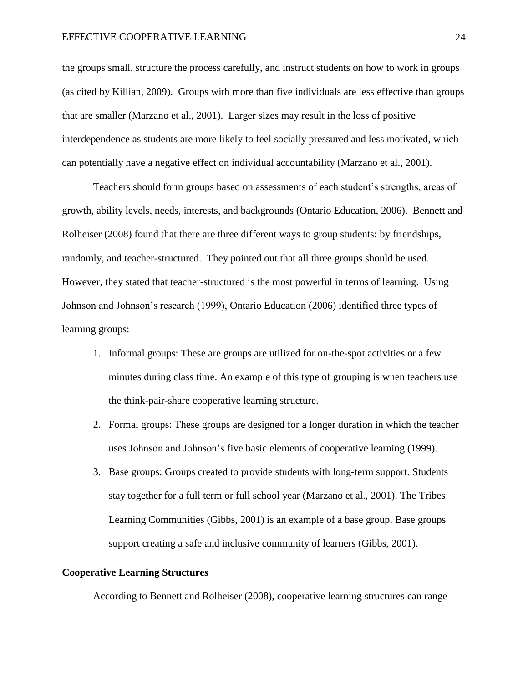#### EFFECTIVE COOPERATIVE LEARNING 24

the groups small, structure the process carefully, and instruct students on how to work in groups (as cited by Killian, 2009). Groups with more than five individuals are less effective than groups that are smaller (Marzano et al., 2001). Larger sizes may result in the loss of positive interdependence as students are more likely to feel socially pressured and less motivated, which can potentially have a negative effect on individual accountability (Marzano et al., 2001).

Teachers should form groups based on assessments of each student's strengths, areas of growth, ability levels, needs, interests, and backgrounds (Ontario Education, 2006). Bennett and Rolheiser (2008) found that there are three different ways to group students: by friendships, randomly, and teacher-structured. They pointed out that all three groups should be used. However, they stated that teacher-structured is the most powerful in terms of learning. Using Johnson and Johnson's research (1999), Ontario Education (2006) identified three types of learning groups:

- 1. Informal groups: These are groups are utilized for on-the-spot activities or a few minutes during class time. An example of this type of grouping is when teachers use the think-pair-share cooperative learning structure.
- 2. Formal groups: These groups are designed for a longer duration in which the teacher uses Johnson and Johnson's five basic elements of cooperative learning (1999).
- 3. Base groups: Groups created to provide students with long-term support. Students stay together for a full term or full school year (Marzano et al., 2001). The Tribes Learning Communities (Gibbs, 2001) is an example of a base group. Base groups support creating a safe and inclusive community of learners (Gibbs, 2001).

#### <span id="page-23-0"></span>**Cooperative Learning Structures**

According to Bennett and Rolheiser (2008), cooperative learning structures can range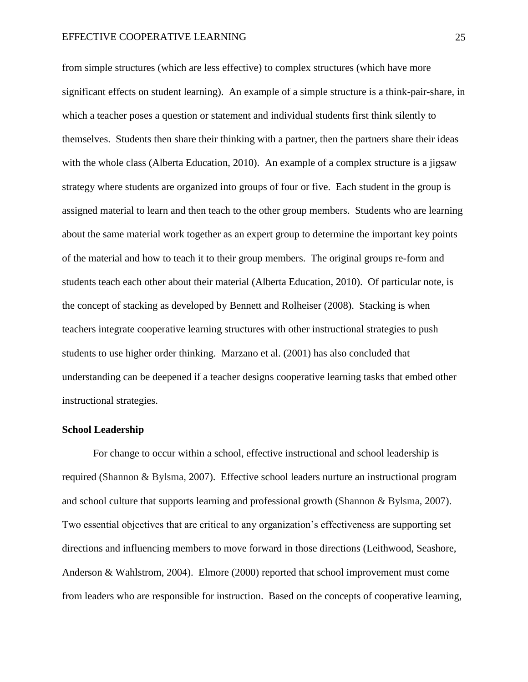from simple structures (which are less effective) to complex structures (which have more significant effects on student learning). An example of a simple structure is a think-pair-share, in which a teacher poses a question or statement and individual students first think silently to themselves. Students then share their thinking with a partner, then the partners share their ideas with the whole class (Alberta Education, 2010). An example of a complex structure is a jigsaw strategy where students are organized into groups of four or five. Each student in the group is assigned material to learn and then teach to the other group members. Students who are learning about the same material work together as an expert group to determine the important key points of the material and how to teach it to their group members. The original groups re-form and students teach each other about their material (Alberta Education, 2010). Of particular note, is the concept of stacking as developed by Bennett and Rolheiser (2008). Stacking is when teachers integrate cooperative learning structures with other instructional strategies to push students to use higher order thinking. Marzano et al. (2001) has also concluded that understanding can be deepened if a teacher designs cooperative learning tasks that embed other instructional strategies.

#### <span id="page-24-0"></span>**School Leadership**

For change to occur within a school, effective instructional and school leadership is required (Shannon & Bylsma, 2007). Effective school leaders nurture an instructional program and school culture that supports learning and professional growth (Shannon & Bylsma, 2007). Two essential objectives that are critical to any organization's effectiveness are supporting set directions and influencing members to move forward in those directions (Leithwood, Seashore, Anderson & Wahlstrom, 2004). Elmore (2000) reported that school improvement must come from leaders who are responsible for instruction. Based on the concepts of cooperative learning,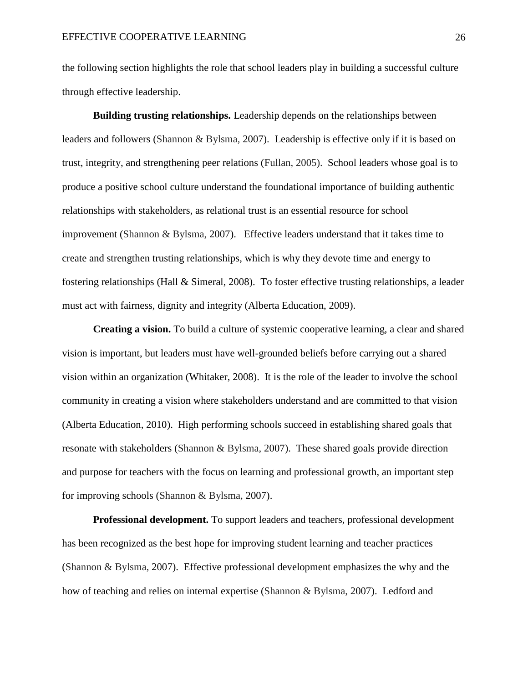the following section highlights the role that school leaders play in building a successful culture through effective leadership.

<span id="page-25-0"></span>**Building trusting relationships.** Leadership depends on the relationships between leaders and followers (Shannon & Bylsma, 2007). Leadership is effective only if it is based on trust, integrity, and strengthening peer relations (Fullan, 2005). School leaders whose goal is to produce a positive school culture understand the foundational importance of building authentic relationships with stakeholders, as relational trust is an essential resource for school improvement (Shannon & Bylsma, 2007). Effective leaders understand that it takes time to create and strengthen trusting relationships, which is why they devote time and energy to fostering relationships (Hall & Simeral, 2008). To foster effective trusting relationships, a leader must act with fairness, dignity and integrity (Alberta Education, 2009).

<span id="page-25-1"></span>**Creating a vision.** To build a culture of systemic cooperative learning, a clear and shared vision is important, but leaders must have well-grounded beliefs before carrying out a shared vision within an organization (Whitaker, 2008). It is the role of the leader to involve the school community in creating a vision where stakeholders understand and are committed to that vision (Alberta Education, 2010). High performing schools succeed in establishing shared goals that resonate with stakeholders (Shannon & Bylsma, 2007). These shared goals provide direction and purpose for teachers with the focus on learning and professional growth, an important step for improving schools (Shannon & Bylsma, 2007).

<span id="page-25-2"></span>**Professional development.** To support leaders and teachers, professional development has been recognized as the best hope for improving student learning and teacher practices (Shannon & Bylsma, 2007). Effective professional development emphasizes the why and the how of teaching and relies on internal expertise (Shannon & Bylsma, 2007). Ledford and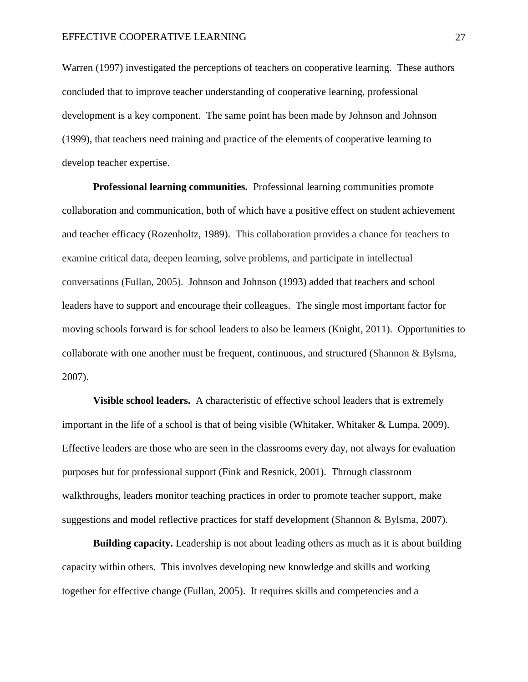Warren (1997) investigated the perceptions of teachers on cooperative learning. These authors concluded that to improve teacher understanding of cooperative learning, professional development is a key component. The same point has been made by Johnson and Johnson (1999), that teachers need training and practice of the elements of cooperative learning to develop teacher expertise.

<span id="page-26-0"></span>**Professional learning communities.** Professional learning communities promote collaboration and communication, both of which have a positive effect on student achievement and teacher efficacy (Rozenholtz, 1989). This collaboration provides a chance for teachers to examine critical data, deepen learning, solve problems, and participate in intellectual conversations (Fullan, 2005). Johnson and Johnson (1993) added that teachers and school leaders have to support and encourage their colleagues. The single most important factor for moving schools forward is for school leaders to also be learners (Knight, 2011). Opportunities to collaborate with one another must be frequent, continuous, and structured (Shannon & Bylsma, 2007).

<span id="page-26-1"></span>**Visible school leaders.** A characteristic of effective school leaders that is extremely important in the life of a school is that of being visible (Whitaker, Whitaker & Lumpa, 2009). Effective leaders are those who are seen in the classrooms every day, not always for evaluation purposes but for professional support (Fink and Resnick, 2001). Through classroom walkthroughs, leaders monitor teaching practices in order to promote teacher support, make suggestions and model reflective practices for staff development (Shannon & Bylsma, 2007).

<span id="page-26-2"></span>**Building capacity.** Leadership is not about leading others as much as it is about building capacity within others. This involves developing new knowledge and skills and working together for effective change (Fullan, 2005). It requires skills and competencies and a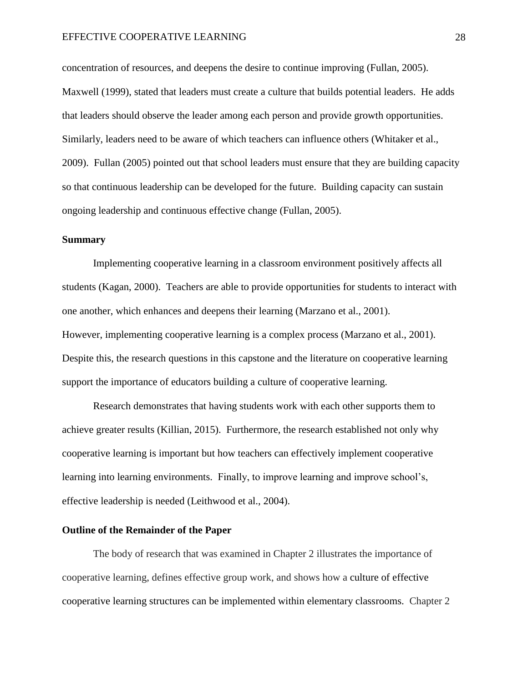#### EFFECTIVE COOPERATIVE LEARNING 28

concentration of resources, and deepens the desire to continue improving (Fullan, 2005). Maxwell (1999), stated that leaders must create a culture that builds potential leaders. He adds that leaders should observe the leader among each person and provide growth opportunities. Similarly, leaders need to be aware of which teachers can influence others (Whitaker et al., 2009). Fullan (2005) pointed out that school leaders must ensure that they are building capacity so that continuous leadership can be developed for the future. Building capacity can sustain ongoing leadership and continuous effective change (Fullan, 2005).

#### <span id="page-27-0"></span>**Summary**

Implementing cooperative learning in a classroom environment positively affects all students (Kagan, 2000). Teachers are able to provide opportunities for students to interact with one another, which enhances and deepens their learning (Marzano et al., 2001). However, implementing cooperative learning is a complex process (Marzano et al., 2001). Despite this, the research questions in this capstone and the literature on cooperative learning support the importance of educators building a culture of cooperative learning.

Research demonstrates that having students work with each other supports them to achieve greater results (Killian, 2015). Furthermore, the research established not only why cooperative learning is important but how teachers can effectively implement cooperative learning into learning environments. Finally, to improve learning and improve school's, effective leadership is needed (Leithwood et al., 2004).

#### <span id="page-27-1"></span>**Outline of the Remainder of the Paper**

The body of research that was examined in Chapter 2 illustrates the importance of cooperative learning, defines effective group work, and shows how a culture of effective cooperative learning structures can be implemented within elementary classrooms. Chapter 2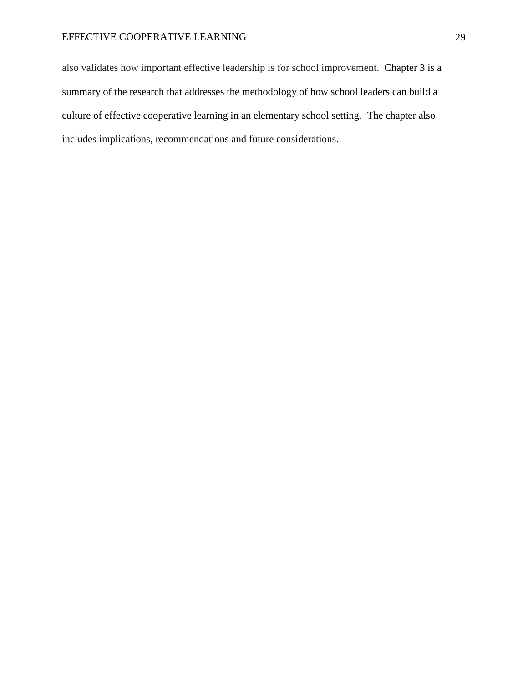## EFFECTIVE COOPERATIVE LEARNING 29

also validates how important effective leadership is for school improvement. Chapter 3 is a summary of the research that addresses the methodology of how school leaders can build a culture of effective cooperative learning in an elementary school setting. The chapter also includes implications, recommendations and future considerations.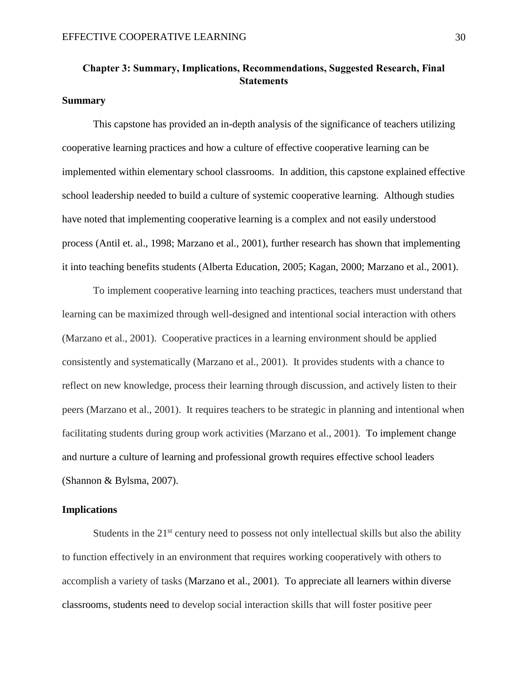## **Chapter 3: Summary, Implications, Recommendations, Suggested Research, Final Statements**

#### <span id="page-29-0"></span>**Summary**

This capstone has provided an in-depth analysis of the significance of teachers utilizing cooperative learning practices and how a culture of effective cooperative learning can be implemented within elementary school classrooms. In addition, this capstone explained effective school leadership needed to build a culture of systemic cooperative learning. Although studies have noted that implementing cooperative learning is a complex and not easily understood process (Antil et. al., 1998; Marzano et al., 2001), further research has shown that implementing it into teaching benefits students (Alberta Education, 2005; Kagan, 2000; Marzano et al., 2001).

To implement cooperative learning into teaching practices, teachers must understand that learning can be maximized through well-designed and intentional social interaction with others (Marzano et al., 2001). Cooperative practices in a learning environment should be applied consistently and systematically (Marzano et al., 2001). It provides students with a chance to reflect on new knowledge, process their learning through discussion, and actively listen to their peers (Marzano et al., 2001). It requires teachers to be strategic in planning and intentional when facilitating students during group work activities (Marzano et al., 2001). To implement change and nurture a culture of learning and professional growth requires effective school leaders (Shannon & Bylsma, 2007).

#### <span id="page-29-1"></span>**Implications**

Students in the  $21<sup>st</sup>$  century need to possess not only intellectual skills but also the ability to function effectively in an environment that requires working cooperatively with others to accomplish a variety of tasks (Marzano et al., 2001).To appreciate all learners within diverse classrooms, students need to develop social interaction skills that will foster positive peer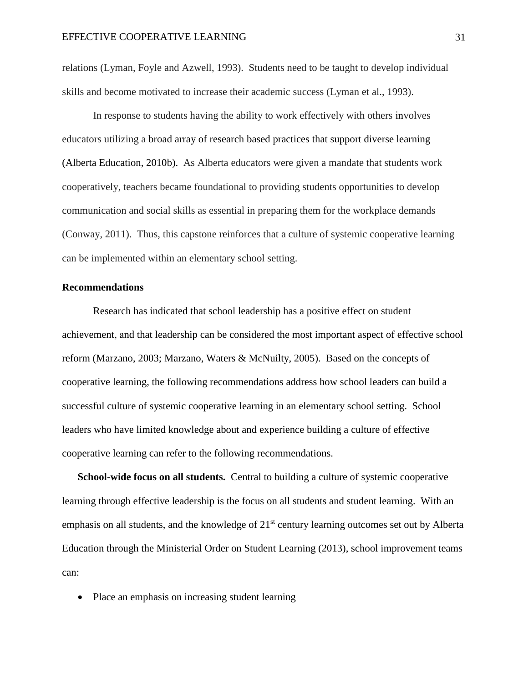relations (Lyman, Foyle and Azwell, 1993). Students need to be taught to develop individual skills and become motivated to increase their academic success (Lyman et al., 1993).

In response to students having the ability to work effectively with others involves educators utilizing a broad array of research based practices that support diverse learning (Alberta Education, 2010b). As Alberta educators were given a mandate that students work cooperatively, teachers became foundational to providing students opportunities to develop communication and social skills as essential in preparing them for the workplace demands (Conway, 2011). Thus, this capstone reinforces that a culture of systemic cooperative learning can be implemented within an elementary school setting.

#### <span id="page-30-0"></span>**Recommendations**

Research has indicated that school leadership has a positive effect on student achievement, and that leadership can be considered the most important aspect of effective school reform (Marzano, 2003; Marzano, Waters & McNuilty, 2005). Based on the concepts of cooperative learning, the following recommendations address how school leaders can build a successful culture of systemic cooperative learning in an elementary school setting. School leaders who have limited knowledge about and experience building a culture of effective cooperative learning can refer to the following recommendations.

<span id="page-30-1"></span>**School-wide focus on all students.** Central to building a culture of systemic cooperative learning through effective leadership is the focus on all students and student learning. With an emphasis on all students, and the knowledge of 21<sup>st</sup> century learning outcomes set out by Alberta Education through the Ministerial Order on Student Learning (2013), school improvement teams can:

• Place an emphasis on increasing student learning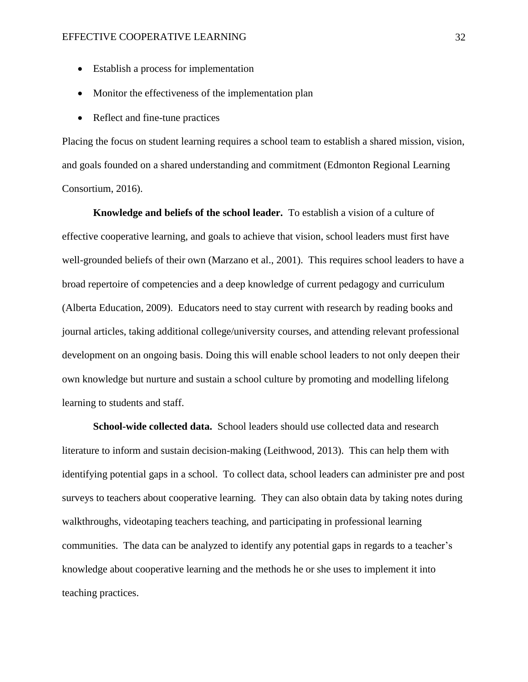- Establish a process for implementation
- Monitor the effectiveness of the implementation plan
- Reflect and fine-tune practices

Placing the focus on student learning requires a school team to establish a shared mission, vision, and goals founded on a shared understanding and commitment (Edmonton Regional Learning Consortium, 2016).

<span id="page-31-0"></span>**Knowledge and beliefs of the school leader.** To establish a vision of a culture of effective cooperative learning, and goals to achieve that vision, school leaders must first have well-grounded beliefs of their own (Marzano et al., 2001). This requires school leaders to have a broad repertoire of competencies and a deep knowledge of current pedagogy and curriculum (Alberta Education, 2009). Educators need to stay current with research by reading books and journal articles, taking additional college/university courses, and attending relevant professional development on an ongoing basis. Doing this will enable school leaders to not only deepen their own knowledge but nurture and sustain a school culture by promoting and modelling lifelong learning to students and staff.

<span id="page-31-1"></span>**School-wide collected data.** School leaders should use collected data and research literature to inform and sustain decision-making (Leithwood, 2013). This can help them with identifying potential gaps in a school. To collect data, school leaders can administer pre and post surveys to teachers about cooperative learning. They can also obtain data by taking notes during walkthroughs, videotaping teachers teaching, and participating in professional learning communities. The data can be analyzed to identify any potential gaps in regards to a teacher's knowledge about cooperative learning and the methods he or she uses to implement it into teaching practices.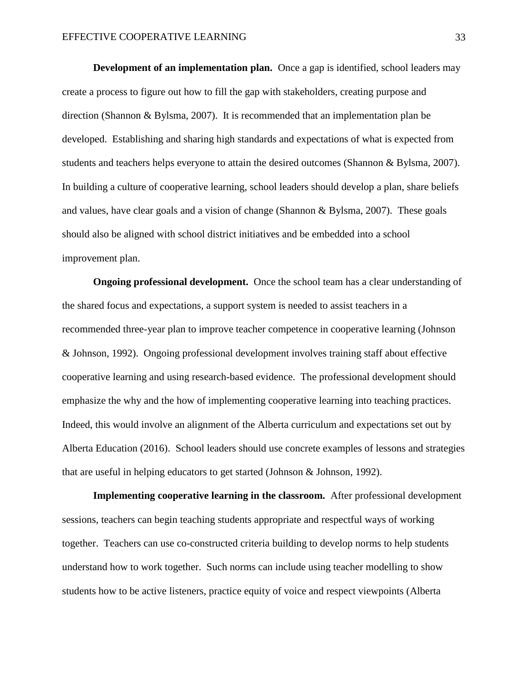<span id="page-32-0"></span>**Development of an implementation plan.** Once a gap is identified, school leaders may create a process to figure out how to fill the gap with stakeholders, creating purpose and direction (Shannon & Bylsma, 2007). It is recommended that an implementation plan be developed. Establishing and sharing high standards and expectations of what is expected from students and teachers helps everyone to attain the desired outcomes (Shannon & Bylsma, 2007). In building a culture of cooperative learning, school leaders should develop a plan, share beliefs and values, have clear goals and a vision of change (Shannon & Bylsma, 2007). These goals should also be aligned with school district initiatives and be embedded into a school improvement plan.

<span id="page-32-1"></span>**Ongoing professional development.** Once the school team has a clear understanding of the shared focus and expectations, a support system is needed to assist teachers in a recommended three-year plan to improve teacher competence in cooperative learning (Johnson & Johnson, 1992). Ongoing professional development involves training staff about effective cooperative learning and using research-based evidence. The professional development should emphasize the why and the how of implementing cooperative learning into teaching practices. Indeed, this would involve an alignment of the Alberta curriculum and expectations set out by Alberta Education (2016). School leaders should use concrete examples of lessons and strategies that are useful in helping educators to get started (Johnson & Johnson, 1992).

<span id="page-32-2"></span>**Implementing cooperative learning in the classroom.** After professional development sessions, teachers can begin teaching students appropriate and respectful ways of working together. Teachers can use co-constructed criteria building to develop norms to help students understand how to work together. Such norms can include using teacher modelling to show students how to be active listeners, practice equity of voice and respect viewpoints (Alberta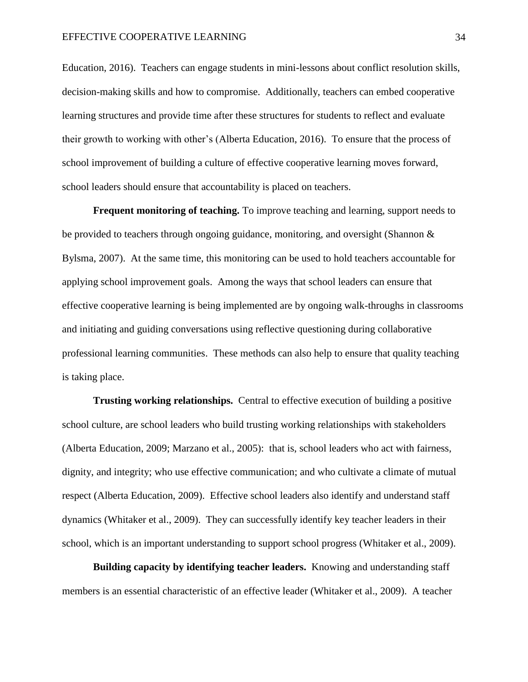Education, 2016). Teachers can engage students in mini-lessons about conflict resolution skills, decision-making skills and how to compromise. Additionally, teachers can embed cooperative learning structures and provide time after these structures for students to reflect and evaluate their growth to working with other's (Alberta Education, 2016). To ensure that the process of school improvement of building a culture of effective cooperative learning moves forward, school leaders should ensure that accountability is placed on teachers.

<span id="page-33-0"></span>**Frequent monitoring of teaching.** To improve teaching and learning, support needs to be provided to teachers through ongoing guidance, monitoring, and oversight (Shannon & Bylsma, 2007). At the same time, this monitoring can be used to hold teachers accountable for applying school improvement goals. Among the ways that school leaders can ensure that effective cooperative learning is being implemented are by ongoing walk-throughs in classrooms and initiating and guiding conversations using reflective questioning during collaborative professional learning communities. These methods can also help to ensure that quality teaching is taking place.

<span id="page-33-1"></span>**Trusting working relationships.** Central to effective execution of building a positive school culture, are school leaders who build trusting working relationships with stakeholders (Alberta Education, 2009; Marzano et al., 2005): that is, school leaders who act with fairness, dignity, and integrity; who use effective communication; and who cultivate a climate of mutual respect (Alberta Education, 2009). Effective school leaders also identify and understand staff dynamics (Whitaker et al., 2009). They can successfully identify key teacher leaders in their school, which is an important understanding to support school progress (Whitaker et al., 2009).

<span id="page-33-2"></span>**Building capacity by identifying teacher leaders.** Knowing and understanding staff members is an essential characteristic of an effective leader (Whitaker et al., 2009). A teacher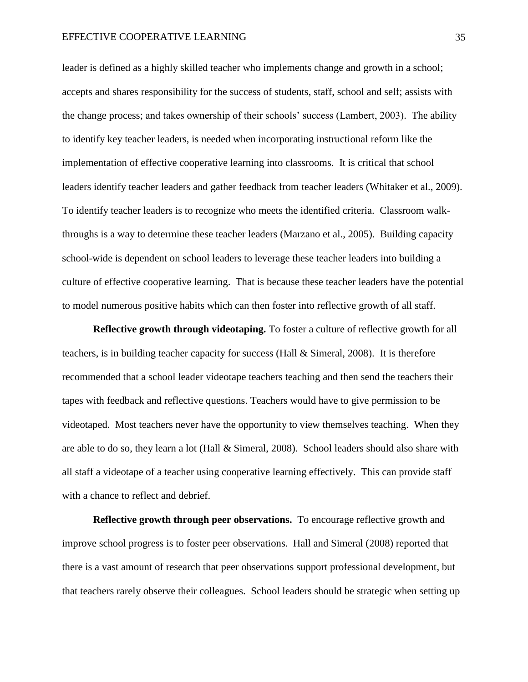leader is defined as a highly skilled teacher who implements change and growth in a school; accepts and shares responsibility for the success of students, staff, school and self; assists with the change process; and takes ownership of their schools' success (Lambert, 2003). The ability to identify key teacher leaders, is needed when incorporating instructional reform like the implementation of effective cooperative learning into classrooms. It is critical that school leaders identify teacher leaders and gather feedback from teacher leaders (Whitaker et al., 2009). To identify teacher leaders is to recognize who meets the identified criteria. Classroom walkthroughs is a way to determine these teacher leaders (Marzano et al., 2005). Building capacity school-wide is dependent on school leaders to leverage these teacher leaders into building a culture of effective cooperative learning. That is because these teacher leaders have the potential to model numerous positive habits which can then foster into reflective growth of all staff.

<span id="page-34-0"></span>**Reflective growth through videotaping.** To foster a culture of reflective growth for all teachers, is in building teacher capacity for success (Hall & Simeral, 2008). It is therefore recommended that a school leader videotape teachers teaching and then send the teachers their tapes with feedback and reflective questions. Teachers would have to give permission to be videotaped. Most teachers never have the opportunity to view themselves teaching. When they are able to do so, they learn a lot (Hall  $\&$  Simeral, 2008). School leaders should also share with all staff a videotape of a teacher using cooperative learning effectively. This can provide staff with a chance to reflect and debrief.

<span id="page-34-1"></span>**Reflective growth through peer observations.** To encourage reflective growth and improve school progress is to foster peer observations. Hall and Simeral (2008) reported that there is a vast amount of research that peer observations support professional development, but that teachers rarely observe their colleagues. School leaders should be strategic when setting up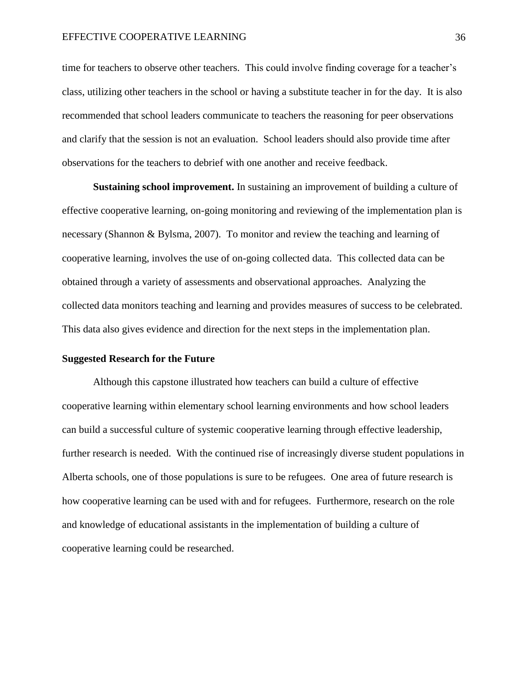time for teachers to observe other teachers. This could involve finding coverage for a teacher's class, utilizing other teachers in the school or having a substitute teacher in for the day. It is also recommended that school leaders communicate to teachers the reasoning for peer observations and clarify that the session is not an evaluation. School leaders should also provide time after observations for the teachers to debrief with one another and receive feedback.

<span id="page-35-0"></span>**Sustaining school improvement.** In sustaining an improvement of building a culture of effective cooperative learning, on-going monitoring and reviewing of the implementation plan is necessary (Shannon & Bylsma, 2007). To monitor and review the teaching and learning of cooperative learning, involves the use of on-going collected data. This collected data can be obtained through a variety of assessments and observational approaches. Analyzing the collected data monitors teaching and learning and provides measures of success to be celebrated. This data also gives evidence and direction for the next steps in the implementation plan.

#### <span id="page-35-1"></span>**Suggested Research for the Future**

Although this capstone illustrated how teachers can build a culture of effective cooperative learning within elementary school learning environments and how school leaders can build a successful culture of systemic cooperative learning through effective leadership, further research is needed. With the continued rise of increasingly diverse student populations in Alberta schools, one of those populations is sure to be refugees. One area of future research is how cooperative learning can be used with and for refugees. Furthermore, research on the role and knowledge of educational assistants in the implementation of building a culture of cooperative learning could be researched.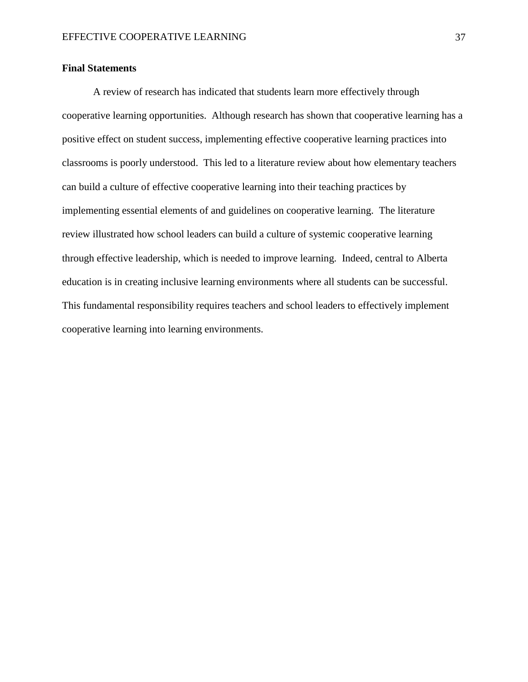### <span id="page-36-0"></span>**Final Statements**

A review of research has indicated that students learn more effectively through cooperative learning opportunities. Although research has shown that cooperative learning has a positive effect on student success, implementing effective cooperative learning practices into classrooms is poorly understood. This led to a literature review about how elementary teachers can build a culture of effective cooperative learning into their teaching practices by implementing essential elements of and guidelines on cooperative learning. The literature review illustrated how school leaders can build a culture of systemic cooperative learning through effective leadership, which is needed to improve learning. Indeed, central to Alberta education is in creating inclusive learning environments where all students can be successful. This fundamental responsibility requires teachers and school leaders to effectively implement cooperative learning into learning environments.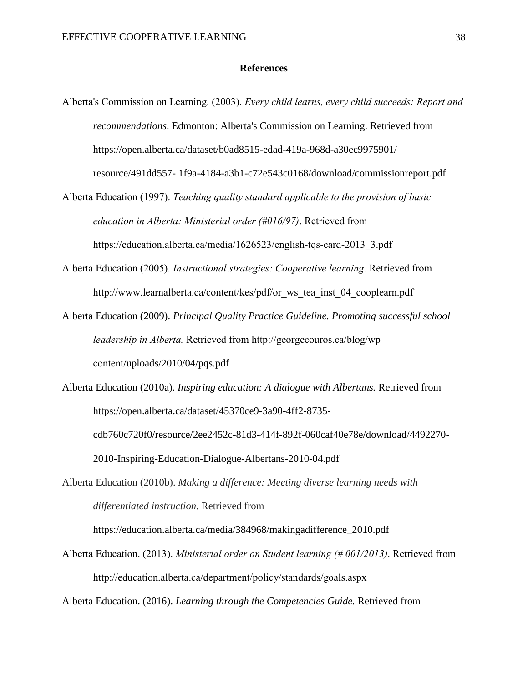#### **References**

- <span id="page-37-0"></span>Alberta's Commission on Learning. (2003). *Every child learns, every child succeeds: Report and recommendations*. Edmonton: Alberta's Commission on Learning. Retrieved from https://open.alberta.ca/dataset/b0ad8515-edad-419a-968d-a30ec9975901/ resource/491dd557- 1f9a-4184-a3b1-c72e543c0168/download/commissionreport.pdf
- Alberta Education (1997). *Teaching quality standard applicable to the provision of basic education in Alberta: Ministerial order (#016/97)*. Retrieved from https://education.alberta.ca/media/1626523/english-tqs-card-2013\_3.pdf
- Alberta Education (2005). *Instructional strategies: Cooperative learning.* Retrieved from http://www.learnalberta.ca/content/kes/pdf/or\_ws\_tea\_inst\_04\_cooplearn.pdf
- Alberta Education (2009). *Principal Quality Practice Guideline. Promoting successful school leadership in Alberta.* Retrieved from http://georgecouros.ca/blog/wp content/uploads/2010/04/pqs.pdf
- Alberta Education (2010a). *Inspiring education: A dialogue with Albertans.* Retrieved from https://open.alberta.ca/dataset/45370ce9-3a90-4ff2-8735 cdb760c720f0/resource/2ee2452c-81d3-414f-892f-060caf40e78e/download/4492270- 2010-Inspiring-Education-Dialogue-Albertans-2010-04.pdf
- Alberta Education (2010b). *Making a difference: Meeting diverse learning needs with differentiated instruction.* Retrieved from

https://education.alberta.ca/media/384968/makingadifference\_2010.pdf

Alberta Education. (2013). *Ministerial order on Student learning (# 001/2013)*. Retrieved from http://education.alberta.ca/department/policy/standards/goals.aspx

Alberta Education. (2016). *Learning through the Competencies Guide.* Retrieved from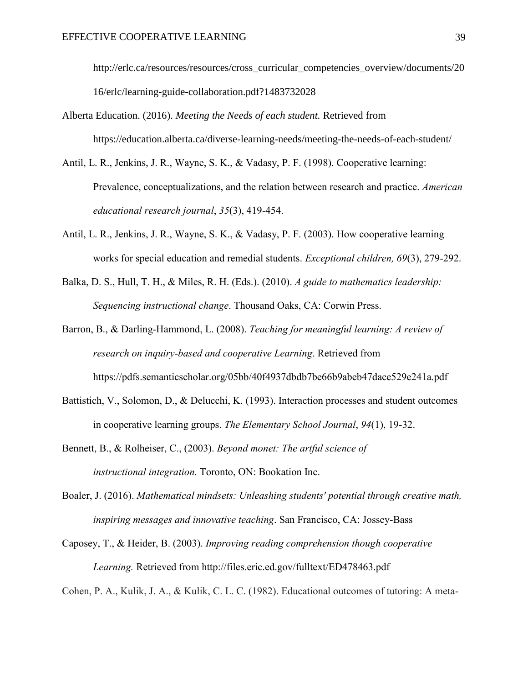http://erlc.ca/resources/resources/cross\_curricular\_competencies\_overview/documents/20 16/erlc/learning-guide-collaboration.pdf?1483732028

Alberta Education. (2016). *Meeting the Needs of each student.* Retrieved from https://education.alberta.ca/diverse-learning-needs/meeting-the-needs-of-each-student/

- Antil, L. R., Jenkins, J. R., Wayne, S. K., & Vadasy, P. F. (1998). Cooperative learning: Prevalence, conceptualizations, and the relation between research and practice. *American educational research journal*, *35*(3), 419-454.
- Antil, L. R., Jenkins, J. R., Wayne, S. K., & Vadasy, P. F. (2003). How cooperative learning works for special education and remedial students. *Exceptional children, 69*(3), 279-292.
- Balka, D. S., Hull, T. H., & Miles, R. H. (Eds.). (2010). *A guide to mathematics leadership: Sequencing instructional change*. Thousand Oaks, CA: Corwin Press.
- Barron, B., & Darling-Hammond, L. (2008). *Teaching for meaningful learning: A review of research on inquiry-based and cooperative Learning*. Retrieved from https://pdfs.semanticscholar.org/05bb/40f4937dbdb7be66b9abeb47dace529e241a.pdf
- Battistich, V., Solomon, D., & Delucchi, K. (1993). Interaction processes and student outcomes in cooperative learning groups. *The Elementary School Journal*, *94*(1), 19-32.
- Bennett, B., & Rolheiser, C., (2003). *Beyond monet: The artful science of instructional integration.* Toronto, ON: Bookation Inc.
- Boaler, J. (2016). *Mathematical mindsets: Unleashing students' potential through creative math, inspiring messages and innovative teaching*. San Francisco, CA: Jossey-Bass
- Caposey, T., & Heider, B. (2003). *Improving reading comprehension though cooperative Learning.* Retrieved from http://files.eric.ed.gov/fulltext/ED478463.pdf

Cohen, P. A., Kulik, J. A., & Kulik, C. L. C. (1982). Educational outcomes of tutoring: A meta-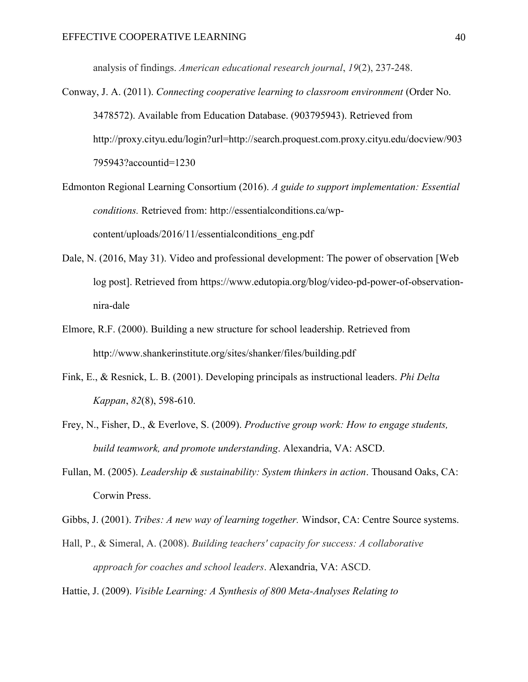analysis of findings. *American educational research journal*, *19*(2), 237-248.

- Conway, J. A. (2011). *Connecting cooperative learning to classroom environment* (Order No. 3478572). Available from Education Database. (903795943). Retrieved from http://proxy.cityu.edu/login?url=http://search.proquest.com.proxy.cityu.edu/docview/903 795943?accountid=1230
- Edmonton Regional Learning Consortium (2016). *A guide to support implementation: Essential conditions.* Retrieved from: http://essentialconditions.ca/wpcontent/uploads/2016/11/essentialconditions\_eng.pdf
- Dale, N. (2016, May 31). Video and professional development: The power of observation [Web log post]. Retrieved from https://www.edutopia.org/blog/video-pd-power-of-observationnira-dale
- Elmore, R.F. (2000). Building a new structure for school leadership. Retrieved from http://www.shankerinstitute.org/sites/shanker/files/building.pdf
- Fink, E., & Resnick, L. B. (2001). Developing principals as instructional leaders. *Phi Delta Kappan*, *82*(8), 598-610.
- Frey, N., Fisher, D., & Everlove, S. (2009). *Productive group work: How to engage students, build teamwork, and promote understanding*. Alexandria, VA: ASCD.
- Fullan, M. (2005). *Leadership & sustainability: System thinkers in action*. Thousand Oaks, CA: Corwin Press.
- Gibbs, J. (2001). *Tribes: A new way of learning together.* Windsor, CA: Centre Source systems.
- Hall, P., & Simeral, A. (2008). *Building teachers' capacity for success: A collaborative approach for coaches and school leaders*. Alexandria, VA: ASCD.
- Hattie, J. (2009). *Visible Learning: A Synthesis of 800 Meta-Analyses Relating to*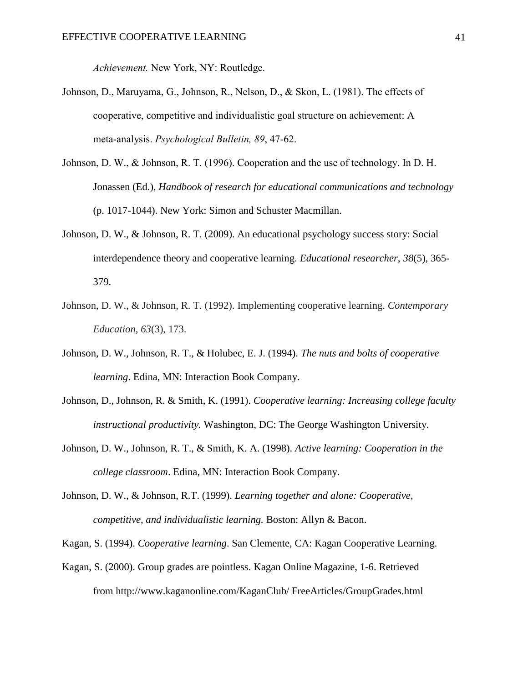*Achievement.* New York, NY: Routledge.

- Johnson, D., Maruyama, G., Johnson, R., Nelson, D., & Skon, L. (1981). The effects of cooperative, competitive and individualistic goal structure on achievement: A meta-analysis. *Psychological Bulletin, 89*, 47-62.
- Johnson, D. W., & Johnson, R. T. (1996). Cooperation and the use of technology. In D. H. Jonassen (Ed.), *Handbook of research for educational communications and technology* (p. 1017-1044). New York: Simon and Schuster Macmillan.
- Johnson, D. W., & Johnson, R. T. (2009). An educational psychology success story: Social interdependence theory and cooperative learning. *Educational researcher*, *38*(5), 365- 379.
- Johnson, D. W., & Johnson, R. T. (1992). Implementing cooperative learning. *Contemporary Education*, *63*(3), 173.
- Johnson, D. W., Johnson, R. T., & Holubec, E. J. (1994). *The nuts and bolts of cooperative learning*. Edina, MN: Interaction Book Company.
- Johnson, D., Johnson, R. & Smith, K. (1991). *Cooperative learning: Increasing college faculty instructional productivity.* Washington, DC: The George Washington University.
- Johnson, D. W., Johnson, R. T., & Smith, K. A. (1998). *Active learning: Cooperation in the college classroom*. Edina, MN: Interaction Book Company.
- Johnson, D. W., & Johnson, R.T. (1999). *Learning together and alone: Cooperative, competitive, and individualistic learning.* Boston: Allyn & Bacon.
- Kagan, S. (1994). *Cooperative learning*. San Clemente, CA: Kagan Cooperative Learning.
- Kagan, S. (2000). Group grades are pointless. Kagan Online Magazine, 1-6. Retrieved from http://www.kaganonline.com/KaganClub/ FreeArticles/GroupGrades.html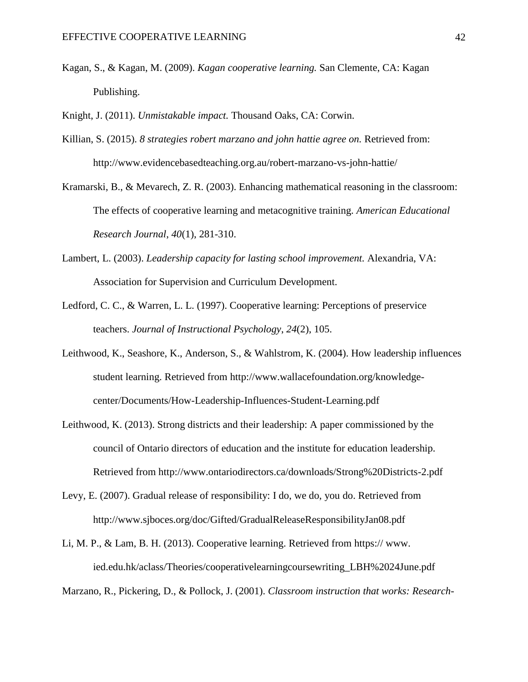Kagan, S., & Kagan, M. (2009). *Kagan cooperative learning.* San Clemente, CA: Kagan Publishing.

Knight, J. (2011). *Unmistakable impact.* Thousand Oaks, CA: Corwin.

- Killian, S. (2015). *8 strategies robert marzano and john hattie agree on.* Retrieved from: http://www.evidencebasedteaching.org.au/robert-marzano-vs-john-hattie/
- Kramarski, B., & Mevarech, Z. R. (2003). Enhancing mathematical reasoning in the classroom: The effects of cooperative learning and metacognitive training. *American Educational Research Journal*, *40*(1), 281-310.
- Lambert, L. (2003). *Leadership capacity for lasting school improvement.* Alexandria, VA: Association for Supervision and Curriculum Development.
- Ledford, C. C., & Warren, L. L. (1997). Cooperative learning: Perceptions of preservice teachers. *Journal of Instructional Psychology*, *24*(2), 105.
- Leithwood, K., Seashore, K., Anderson, S., & Wahlstrom, K. (2004). How leadership influences student learning. Retrieved from http://www.wallacefoundation.org/knowledgecenter/Documents/How-Leadership-Influences-Student-Learning.pdf
- Leithwood, K. (2013). Strong districts and their leadership: A paper commissioned by the council of Ontario directors of education and the institute for education leadership. Retrieved from http://www.ontariodirectors.ca/downloads/Strong%20Districts-2.pdf
- Levy, E. (2007). Gradual release of responsibility: I do, we do, you do. Retrieved from http://www.sjboces.org/doc/Gifted/GradualReleaseResponsibilityJan08.pdf
- Li, M. P., & Lam, B. H. (2013). Cooperative learning. Retrieved from https:// www. ied.edu.hk/aclass/Theories/cooperativelearningcoursewriting\_LBH%2024June.pdf

Marzano, R., Pickering, D., & Pollock, J. (2001). *Classroom instruction that works: Research-*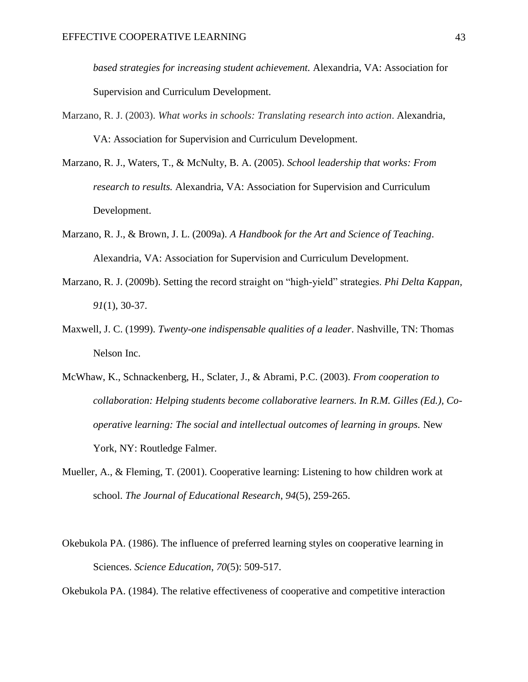*based strategies for increasing student achievement.* Alexandria, VA: Association for Supervision and Curriculum Development.

- Marzano, R. J. (2003). *What works in schools: Translating research into action*. Alexandria, VA: Association for Supervision and Curriculum Development.
- Marzano, R. J., Waters, T., & McNulty, B. A. (2005). *School leadership that works: From research to results.* Alexandria, VA: Association for Supervision and Curriculum Development.
- Marzano, R. J., & Brown, J. L. (2009a). *A Handbook for the Art and Science of Teaching*. Alexandria, VA: Association for Supervision and Curriculum Development.
- Marzano, R. J. (2009b). Setting the record straight on "high-yield" strategies. *Phi Delta Kappan, 91*(1), 30-37.
- Maxwell, J. C. (1999). *Twenty-one indispensable qualities of a leader*. Nashville, TN: Thomas Nelson Inc.
- McWhaw, K., Schnackenberg, H., Sclater, J., & Abrami, P.C. (2003). *From cooperation to collaboration: Helping students become collaborative learners. In R.M. Gilles (Ed.), Cooperative learning: The social and intellectual outcomes of learning in groups.* New York, NY: Routledge Falmer.
- Mueller, A., & Fleming, T. (2001). Cooperative learning: Listening to how children work at school. *The Journal of Educational Research*, *94*(5), 259-265.
- Okebukola PA. (1986). The influence of preferred learning styles on cooperative learning in Sciences. *Science Education*, *70*(5): 509-517.

Okebukola PA. (1984). The relative effectiveness of cooperative and competitive interaction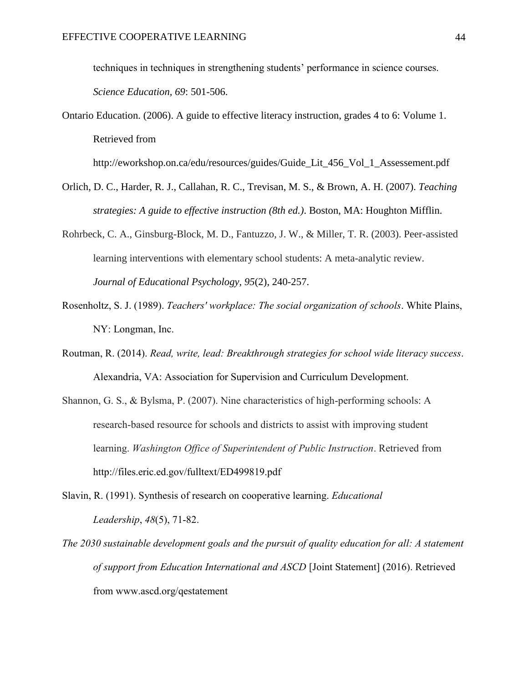techniques in techniques in strengthening students' performance in science courses. *Science Education, 69*: 501-506.

http://eworkshop.on.ca/edu/resources/guides/Guide\_Lit\_456\_Vol\_1\_Assessement.pdf

- Orlich, D. C., Harder, R. J., Callahan, R. C., Trevisan, M. S., & Brown, A. H. (2007). *Teaching strategies: A guide to effective instruction (8th ed.)*. Boston, MA: Houghton Mifflin.
- Rohrbeck, C. A., Ginsburg-Block, M. D., Fantuzzo, J. W., & Miller, T. R. (2003). Peer-assisted learning interventions with elementary school students: A meta-analytic review. *Journal of Educational Psychology, 95*(2), 240-257.
- Rosenholtz, S. J. (1989). *Teachers' workplace: The social organization of schools*. White Plains, NY: Longman, Inc.
- Routman, R. (2014). *Read, write, lead: Breakthrough strategies for school wide literacy success*. Alexandria, VA: Association for Supervision and Curriculum Development.
- Shannon, G. S., & Bylsma, P. (2007). Nine characteristics of high-performing schools: A research-based resource for schools and districts to assist with improving student learning. *Washington Office of Superintendent of Public Instruction*. Retrieved from http://files.eric.ed.gov/fulltext/ED499819.pdf
- Slavin, R. (1991). Synthesis of research on cooperative learning. *Educational Leadership*, *48*(5), 71-82.
- *The 2030 sustainable development goals and the pursuit of quality education for all: A statement of support from Education International and ASCD* [Joint Statement] (2016). Retrieved from www.ascd.org/qestatement

Ontario Education. (2006). A guide to effective literacy instruction, grades 4 to 6: Volume 1. Retrieved from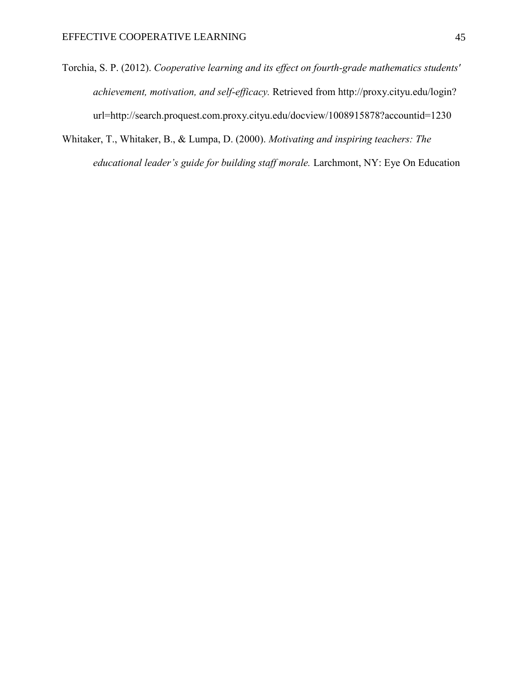- Torchia, S. P. (2012). *Cooperative learning and its effect on fourth-grade mathematics students' achievement, motivation, and self-efficacy.* Retrieved from http://proxy.cityu.edu/login? url=http://search.proquest.com.proxy.cityu.edu/docview/1008915878?accountid=1230
- Whitaker, T., Whitaker, B., & Lumpa, D. (2000). *Motivating and inspiring teachers: The educational leader's guide for building staff morale.* Larchmont, NY: Eye On Education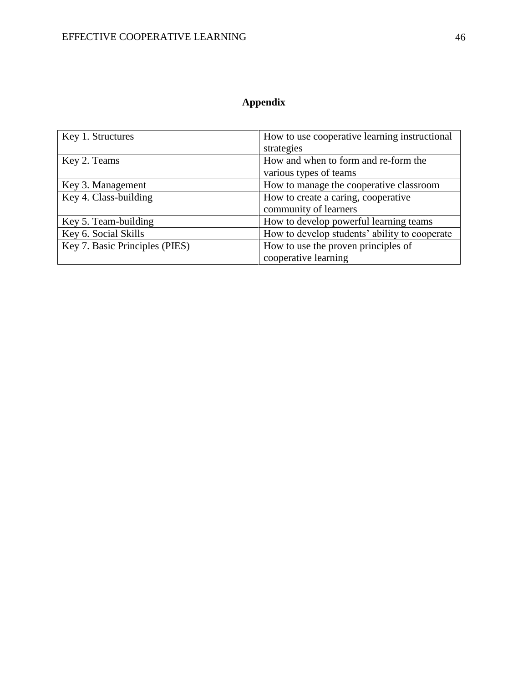## **Appendix**

<span id="page-45-0"></span>

| Key 1. Structures              | How to use cooperative learning instructional |
|--------------------------------|-----------------------------------------------|
|                                | strategies                                    |
| Key 2. Teams                   | How and when to form and re-form the          |
|                                | various types of teams                        |
| Key 3. Management              | How to manage the cooperative classroom       |
| Key 4. Class-building          | How to create a caring, cooperative           |
|                                | community of learners                         |
| Key 5. Team-building           | How to develop powerful learning teams        |
| Key 6. Social Skills           | How to develop students' ability to cooperate |
| Key 7. Basic Principles (PIES) | How to use the proven principles of           |
|                                | cooperative learning                          |